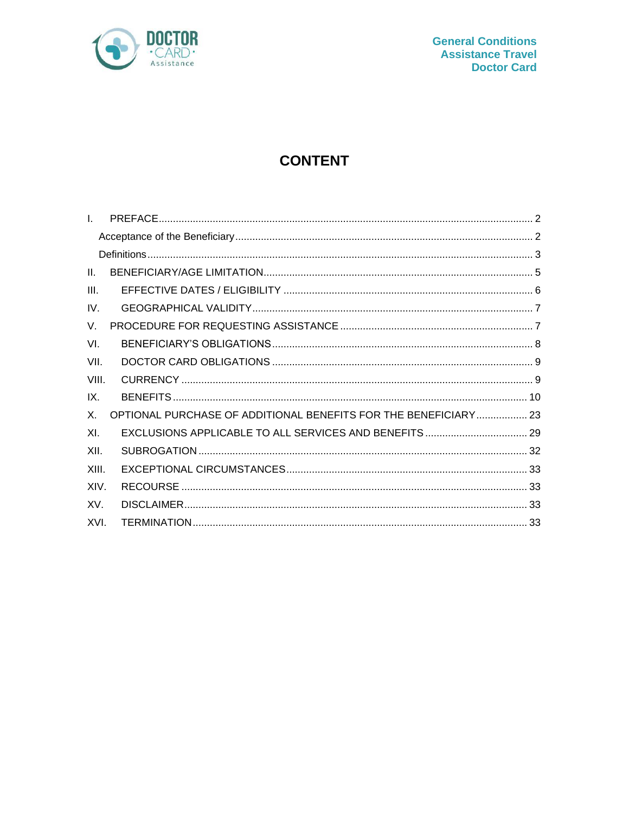

# **CONTENT**

| $\mathbf{L}$    |                                                                 |  |
|-----------------|-----------------------------------------------------------------|--|
|                 |                                                                 |  |
|                 |                                                                 |  |
| $\mathbf{II}$ . |                                                                 |  |
| III.            |                                                                 |  |
| IV.             |                                                                 |  |
| $V_{\rm r}$     |                                                                 |  |
| VI.             |                                                                 |  |
| VII.            |                                                                 |  |
| VIII.           |                                                                 |  |
| IX.             |                                                                 |  |
| $X_{-}$         | OPTIONAL PURCHASE OF ADDITIONAL BENEFITS FOR THE BENEFICIARY 23 |  |
| XI.             | EXCLUSIONS APPLICABLE TO ALL SERVICES AND BENEFITS  29          |  |
| XII.            |                                                                 |  |
| XIII.           |                                                                 |  |
| XIV.            |                                                                 |  |
| XV.             |                                                                 |  |
| XVI.            |                                                                 |  |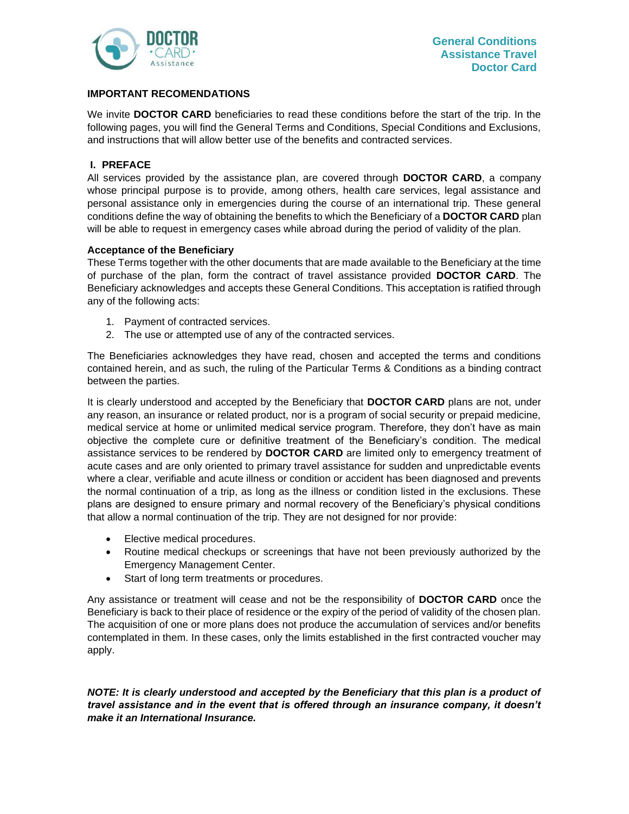

# **IMPORTANT RECOMENDATIONS**

We invite **DOCTOR CARD** beneficiaries to read these conditions before the start of the trip. In the following pages, you will find the General Terms and Conditions, Special Conditions and Exclusions, and instructions that will allow better use of the benefits and contracted services.

# <span id="page-1-0"></span>**I. PREFACE**

All services provided by the assistance plan, are covered through **DOCTOR CARD**, a company whose principal purpose is to provide, among others, health care services, legal assistance and personal assistance only in emergencies during the course of an international trip. These general conditions define the way of obtaining the benefits to which the Beneficiary of a **DOCTOR CARD** plan will be able to request in emergency cases while abroad during the period of validity of the plan.

# <span id="page-1-1"></span>**Acceptance of the Beneficiary**

These Terms together with the other documents that are made available to the Beneficiary at the time of purchase of the plan, form the contract of travel assistance provided **DOCTOR CARD**. The Beneficiary acknowledges and accepts these General Conditions. This acceptation is ratified through any of the following acts:

- 1. Payment of contracted services.
- 2. The use or attempted use of any of the contracted services.

The Beneficiaries acknowledges they have read, chosen and accepted the terms and conditions contained herein, and as such, the ruling of the Particular Terms & Conditions as a binding contract between the parties.

It is clearly understood and accepted by the Beneficiary that **DOCTOR CARD** plans are not, under any reason, an insurance or related product, nor is a program of social security or prepaid medicine, medical service at home or unlimited medical service program. Therefore, they don't have as main objective the complete cure or definitive treatment of the Beneficiary's condition. The medical assistance services to be rendered by **DOCTOR CARD** are limited only to emergency treatment of acute cases and are only oriented to primary travel assistance for sudden and unpredictable events where a clear, verifiable and acute illness or condition or accident has been diagnosed and prevents the normal continuation of a trip, as long as the illness or condition listed in the exclusions. These plans are designed to ensure primary and normal recovery of the Beneficiary's physical conditions that allow a normal continuation of the trip. They are not designed for nor provide:

- Elective medical procedures.
- Routine medical checkups or screenings that have not been previously authorized by the Emergency Management Center.
- Start of long term treatments or procedures.

Any assistance or treatment will cease and not be the responsibility of **DOCTOR CARD** once the Beneficiary is back to their place of residence or the expiry of the period of validity of the chosen plan. The acquisition of one or more plans does not produce the accumulation of services and/or benefits contemplated in them. In these cases, only the limits established in the first contracted voucher may apply.

*NOTE: It is clearly understood and accepted by the Beneficiary that this plan is a product of travel assistance and in the event that is offered through an insurance company, it doesn't make it an International Insurance.*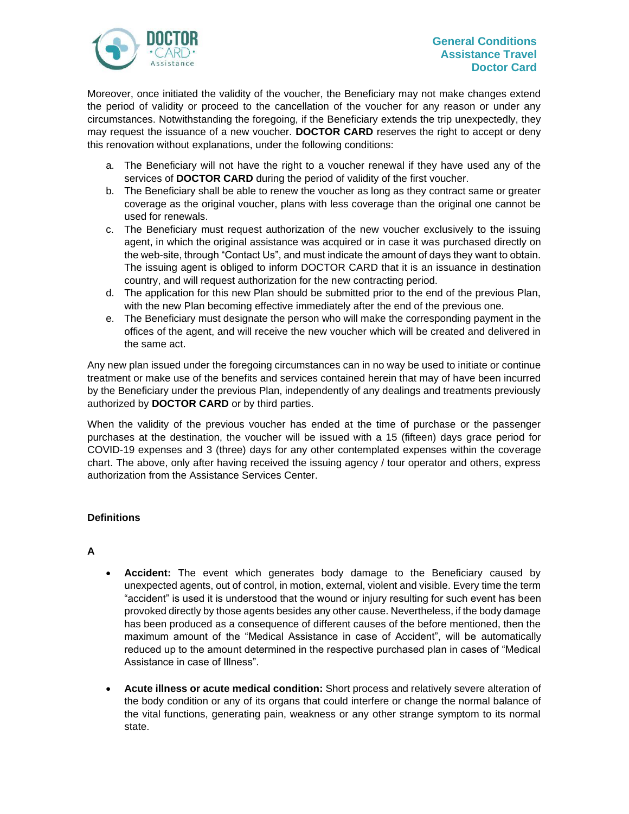

Moreover, once initiated the validity of the voucher, the Beneficiary may not make changes extend the period of validity or proceed to the cancellation of the voucher for any reason or under any circumstances. Notwithstanding the foregoing, if the Beneficiary extends the trip unexpectedly, they may request the issuance of a new voucher. **DOCTOR CARD** reserves the right to accept or deny this renovation without explanations, under the following conditions:

- a. The Beneficiary will not have the right to a voucher renewal if they have used any of the services of **DOCTOR CARD** during the period of validity of the first voucher.
- b. The Beneficiary shall be able to renew the voucher as long as they contract same or greater coverage as the original voucher, plans with less coverage than the original one cannot be used for renewals.
- c. The Beneficiary must request authorization of the new voucher exclusively to the issuing agent, in which the original assistance was acquired or in case it was purchased directly on the web-site, through "Contact Us", and must indicate the amount of days they want to obtain. The issuing agent is obliged to inform DOCTOR CARD that it is an issuance in destination country, and will request authorization for the new contracting period.
- d. The application for this new Plan should be submitted prior to the end of the previous Plan, with the new Plan becoming effective immediately after the end of the previous one.
- e. The Beneficiary must designate the person who will make the corresponding payment in the offices of the agent, and will receive the new voucher which will be created and delivered in the same act.

Any new plan issued under the foregoing circumstances can in no way be used to initiate or continue treatment or make use of the benefits and services contained herein that may of have been incurred by the Beneficiary under the previous Plan, independently of any dealings and treatments previously authorized by **DOCTOR CARD** or by third parties.

When the validity of the previous voucher has ended at the time of purchase or the passenger purchases at the destination, the voucher will be issued with a 15 (fifteen) days grace period for COVID-19 expenses and 3 (three) days for any other contemplated expenses within the coverage chart. The above, only after having received the issuing agency / tour operator and others, express authorization from the Assistance Services Center.

# <span id="page-2-0"></span>**Definitions**

# **A**

- **Accident:** The event which generates body damage to the Beneficiary caused by unexpected agents, out of control, in motion, external, violent and visible. Every time the term "accident" is used it is understood that the wound or injury resulting for such event has been provoked directly by those agents besides any other cause. Nevertheless, if the body damage has been produced as a consequence of different causes of the before mentioned, then the maximum amount of the "Medical Assistance in case of Accident", will be automatically reduced up to the amount determined in the respective purchased plan in cases of "Medical Assistance in case of Illness".
- **Acute illness or acute medical condition:** Short process and relatively severe alteration of the body condition or any of its organs that could interfere or change the normal balance of the vital functions, generating pain, weakness or any other strange symptom to its normal state.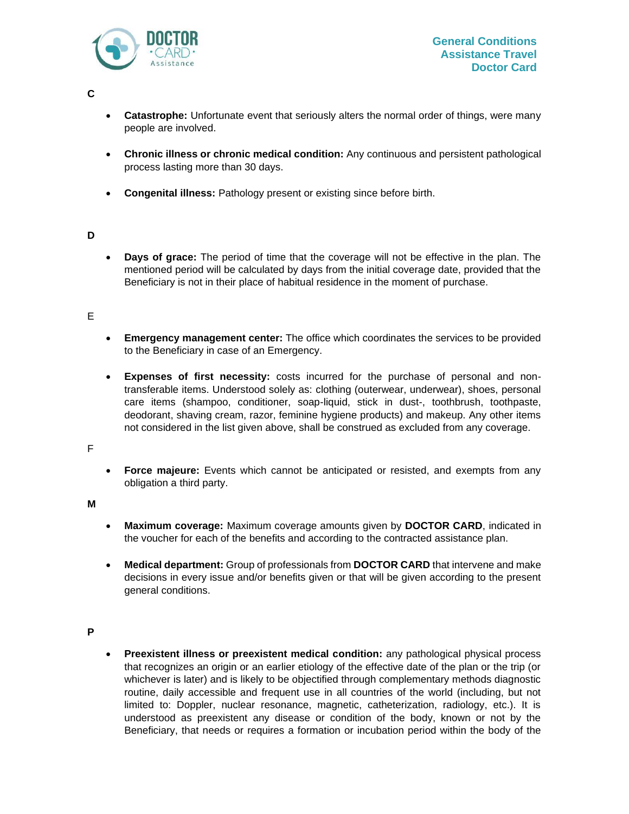

**C**

- **Catastrophe:** Unfortunate event that seriously alters the normal order of things, were many people are involved.
- **Chronic illness or chronic medical condition:** Any continuous and persistent pathological process lasting more than 30 days.
- **Congenital illness:** Pathology present or existing since before birth.

# **D**

• **Days of grace:** The period of time that the coverage will not be effective in the plan. The mentioned period will be calculated by days from the initial coverage date, provided that the Beneficiary is not in their place of habitual residence in the moment of purchase.

# E

- **Emergency management center:** The office which coordinates the services to be provided to the Beneficiary in case of an Emergency.
- **Expenses of first necessity:** costs incurred for the purchase of personal and nontransferable items. Understood solely as: clothing (outerwear, underwear), shoes, personal care items (shampoo, conditioner, soap-liquid, stick in dust-, toothbrush, toothpaste, deodorant, shaving cream, razor, feminine hygiene products) and makeup. Any other items not considered in the list given above, shall be construed as excluded from any coverage.

F

• **Force majeure:** Events which cannot be anticipated or resisted, and exempts from any obligation a third party.

**M**

- **Maximum coverage:** Maximum coverage amounts given by **DOCTOR CARD**, indicated in the voucher for each of the benefits and according to the contracted assistance plan.
- **Medical department:** Group of professionals from **DOCTOR CARD** that intervene and make decisions in every issue and/or benefits given or that will be given according to the present general conditions.

#### **P**

• **Preexistent illness or preexistent medical condition:** any pathological physical process that recognizes an origin or an earlier etiology of the effective date of the plan or the trip (or whichever is later) and is likely to be objectified through complementary methods diagnostic routine, daily accessible and frequent use in all countries of the world (including, but not limited to: Doppler, nuclear resonance, magnetic, catheterization, radiology, etc.). It is understood as preexistent any disease or condition of the body, known or not by the Beneficiary, that needs or requires a formation or incubation period within the body of the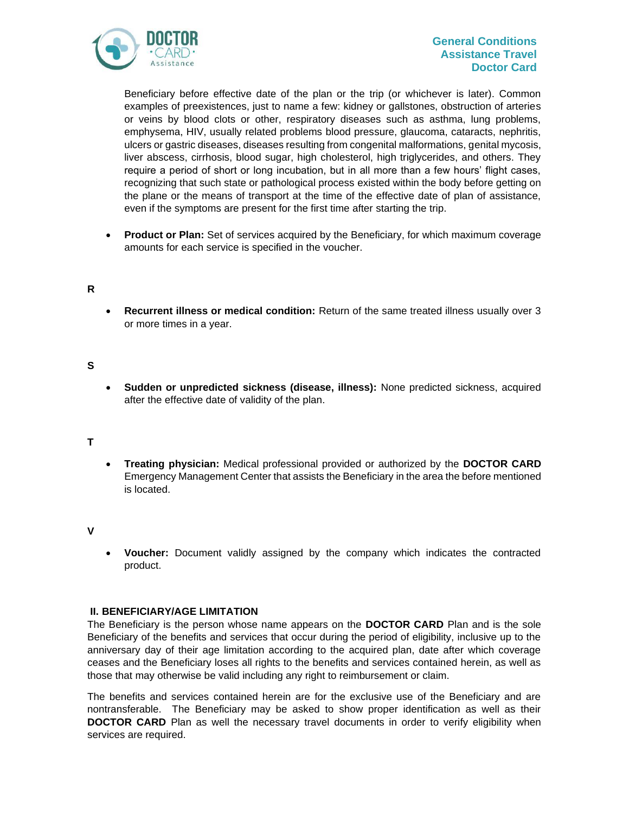

# **General Conditions Assistance Travel Doctor Card**

Beneficiary before effective date of the plan or the trip (or whichever is later). Common examples of preexistences, just to name a few: kidney or gallstones, obstruction of arteries or veins by blood clots or other, respiratory diseases such as asthma, lung problems, emphysema, HIV, usually related problems blood pressure, glaucoma, cataracts, nephritis, ulcers or gastric diseases, diseases resulting from congenital malformations, genital mycosis, liver abscess, cirrhosis, blood sugar, high cholesterol, high triglycerides, and others. They require a period of short or long incubation, but in all more than a few hours' flight cases, recognizing that such state or pathological process existed within the body before getting on the plane or the means of transport at the time of the effective date of plan of assistance, even if the symptoms are present for the first time after starting the trip.

• **Product or Plan:** Set of services acquired by the Beneficiary, for which maximum coverage amounts for each service is specified in the voucher.

# **R**

• **Recurrent illness or medical condition:** Return of the same treated illness usually over 3 or more times in a year.

# **S**

• **Sudden or unpredicted sickness (disease, illness):** None predicted sickness, acquired after the effective date of validity of the plan.

#### **T**

• **Treating physician:** Medical professional provided or authorized by the **DOCTOR CARD** Emergency Management Center that assists the Beneficiary in the area the before mentioned is located.

#### **V**

• **Voucher:** Document validly assigned by the company which indicates the contracted product.

# <span id="page-4-0"></span>**II. BENEFICIARY/AGE LIMITATION**

The Beneficiary is the person whose name appears on the **DOCTOR CARD** Plan and is the sole Beneficiary of the benefits and services that occur during the period of eligibility, inclusive up to the anniversary day of their age limitation according to the acquired plan, date after which coverage ceases and the Beneficiary loses all rights to the benefits and services contained herein, as well as those that may otherwise be valid including any right to reimbursement or claim.

The benefits and services contained herein are for the exclusive use of the Beneficiary and are nontransferable. The Beneficiary may be asked to show proper identification as well as their **DOCTOR CARD** Plan as well the necessary travel documents in order to verify eligibility when services are required.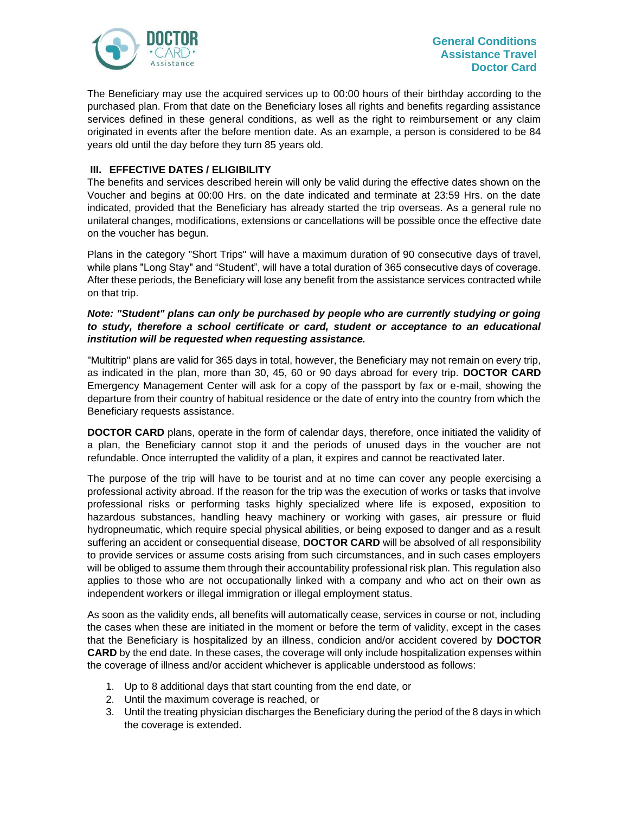

The Beneficiary may use the acquired services up to 00:00 hours of their birthday according to the purchased plan. From that date on the Beneficiary loses all rights and benefits regarding assistance services defined in these general conditions, as well as the right to reimbursement or any claim originated in events after the before mention date. As an example, a person is considered to be 84 years old until the day before they turn 85 years old.

# <span id="page-5-0"></span>**III. EFFECTIVE DATES / ELIGIBILITY**

The benefits and services described herein will only be valid during the effective dates shown on the Voucher and begins at 00:00 Hrs. on the date indicated and terminate at 23:59 Hrs. on the date indicated, provided that the Beneficiary has already started the trip overseas. As a general rule no unilateral changes, modifications, extensions or cancellations will be possible once the effective date on the voucher has begun.

Plans in the category "Short Trips" will have a maximum duration of 90 consecutive days of travel, while plans "Long Stay" and "Student", will have a total duration of 365 consecutive days of coverage. After these periods, the Beneficiary will lose any benefit from the assistance services contracted while on that trip.

## *Note: "Student" plans can only be purchased by people who are currently studying or going to study, therefore a school certificate or card, student or acceptance to an educational institution will be requested when requesting assistance.*

"Multitrip" plans are valid for 365 days in total, however, the Beneficiary may not remain on every trip, as indicated in the plan, more than 30, 45, 60 or 90 days abroad for every trip. **DOCTOR CARD** Emergency Management Center will ask for a copy of the passport by fax or e-mail, showing the departure from their country of habitual residence or the date of entry into the country from which the Beneficiary requests assistance.

**DOCTOR CARD** plans, operate in the form of calendar days, therefore, once initiated the validity of a plan, the Beneficiary cannot stop it and the periods of unused days in the voucher are not refundable. Once interrupted the validity of a plan, it expires and cannot be reactivated later.

The purpose of the trip will have to be tourist and at no time can cover any people exercising a professional activity abroad. If the reason for the trip was the execution of works or tasks that involve professional risks or performing tasks highly specialized where life is exposed, exposition to hazardous substances, handling heavy machinery or working with gases, air pressure or fluid hydropneumatic, which require special physical abilities, or being exposed to danger and as a result suffering an accident or consequential disease, **DOCTOR CARD** will be absolved of all responsibility to provide services or assume costs arising from such circumstances, and in such cases employers will be obliged to assume them through their accountability professional risk plan. This regulation also applies to those who are not occupationally linked with a company and who act on their own as independent workers or illegal immigration or illegal employment status.

As soon as the validity ends, all benefits will automatically cease, services in course or not, including the cases when these are initiated in the moment or before the term of validity, except in the cases that the Beneficiary is hospitalized by an illness, condicion and/or accident covered by **DOCTOR CARD** by the end date. In these cases, the coverage will only include hospitalization expenses within the coverage of illness and/or accident whichever is applicable understood as follows:

- 1. Up to 8 additional days that start counting from the end date, or
- 2. Until the maximum coverage is reached, or
- 3. Until the treating physician discharges the Beneficiary during the period of the 8 days in which the coverage is extended.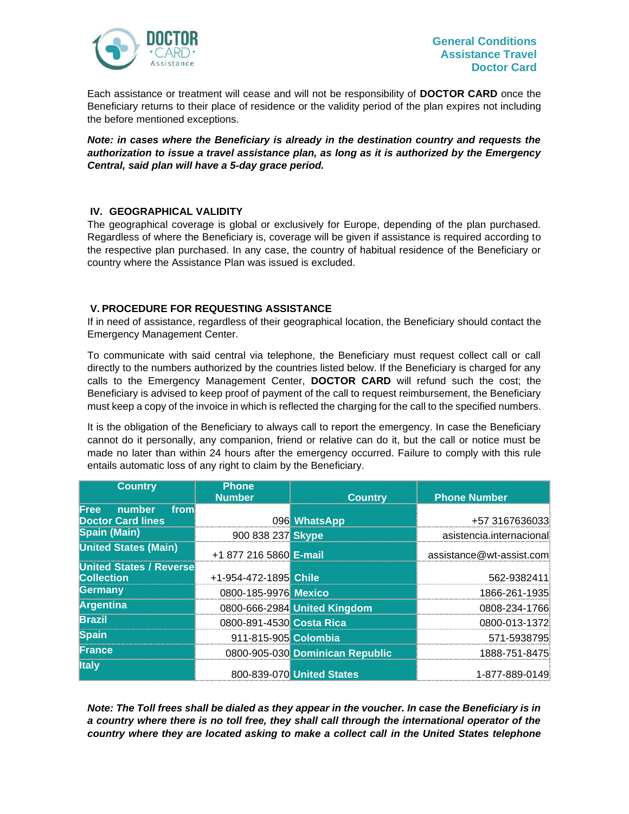

Each assistance or treatment will cease and will not be responsibility of **DOCTOR CARD** once the Beneficiary returns to their place of residence or the validity period of the plan expires not including the before mentioned exceptions.

*Note: in cases where the Beneficiary is already in the destination country and requests the authorization to issue a travel assistance plan, as long as it is authorized by the Emergency Central, said plan will have a 5-day grace period.*

# <span id="page-6-0"></span>**IV. GEOGRAPHICAL VALIDITY**

The geographical coverage is global or exclusively for Europe, depending of the plan purchased. Regardless of where the Beneficiary is, coverage will be given if assistance is required according to the respective plan purchased. In any case, the country of habitual residence of the Beneficiary or country where the Assistance Plan was issued is excluded.

# <span id="page-6-1"></span>**V. PROCEDURE FOR REQUESTING ASSISTANCE**

If in need of assistance, regardless of their geographical location, the Beneficiary should contact the Emergency Management Center.

To communicate with said central via telephone, the Beneficiary must request collect call or call directly to the numbers authorized by the countries listed below. If the Beneficiary is charged for any calls to the Emergency Management Center, **DOCTOR CARD** will refund such the cost; the Beneficiary is advised to keep proof of payment of the call to request reimbursement, the Beneficiary must keep a copy of the invoice in which is reflected the charging for the call to the specified numbers.

It is the obligation of the Beneficiary to always call to report the emergency. In case the Beneficiary cannot do it personally, any companion, friend or relative can do it, but the call or notice must be made no later than within 24 hours after the emergency occurred. Failure to comply with this rule entails automatic loss of any right to claim by the Beneficiary.

| <b>Country</b>                 | <b>Phone</b>             |                                 |                          |
|--------------------------------|--------------------------|---------------------------------|--------------------------|
|                                | <b>Number</b>            | <b>Country</b>                  | <b>Phone Number</b>      |
| number<br><b>Free</b><br>from  |                          |                                 |                          |
| <b>Doctor Card lines</b>       |                          | 096 WhatsApp                    | +57 3167636033           |
| Spain (Main)                   | 900 838 237 Skype        |                                 | asistencia.internacional |
| <b>United States (Main)</b>    | +1 877 216 5860 E-mail   |                                 | assistance@wt-assist.com |
| <b>United States / Reverse</b> |                          |                                 |                          |
| <b>Collection</b>              | +1-954-472-1895 Chile    |                                 | 562-9382411              |
| Germany                        | 0800-185-9976 Mexico     |                                 | 1866-261-1935            |
| <b>Argentina</b>               |                          | 0800-666-2984 United Kingdom    | 0808-234-1766            |
| <b>Brazil</b>                  | 0800-891-4530 Costa Rica |                                 | 0800-013-1372            |
| <b>Spain</b>                   | 911-815-905 Colombia     |                                 | 571-5938795              |
| France                         |                          | 0800-905-030 Dominican Republic | 1888-751-8475            |
| <b>Italy</b>                   |                          | 800-839-070 United States       | 1-877-889-0149           |

*Note: The Toll frees shall be dialed as they appear in the voucher. In case the Beneficiary is in a country where there is no toll free, they shall call through the international operator of the country where they are located asking to make a collect call in the United States telephone*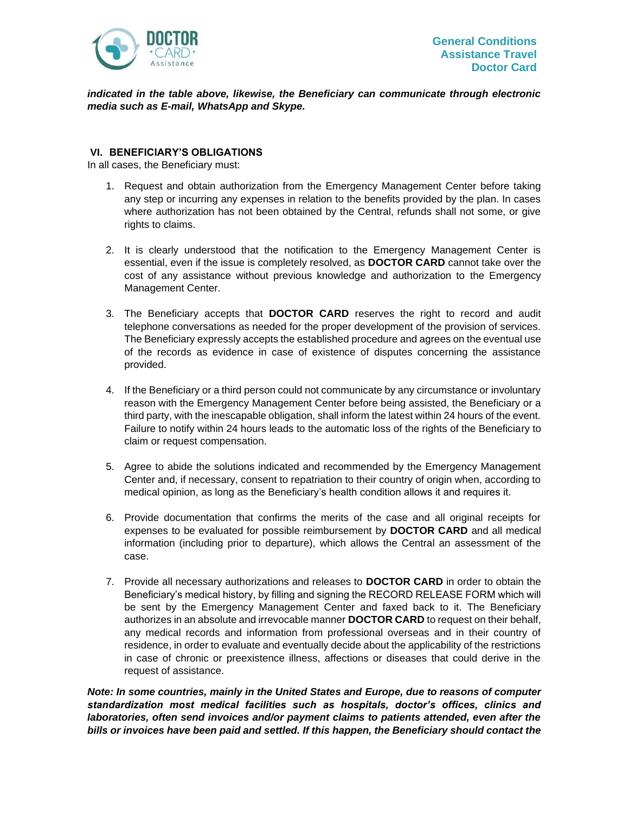

*indicated in the table above, likewise, the Beneficiary can communicate through electronic media such as E-mail, WhatsApp and Skype.*

#### <span id="page-7-0"></span>**VI. BENEFICIARY'S OBLIGATIONS**

In all cases, the Beneficiary must:

- 1. Request and obtain authorization from the Emergency Management Center before taking any step or incurring any expenses in relation to the benefits provided by the plan. In cases where authorization has not been obtained by the Central, refunds shall not some, or give rights to claims.
- 2. It is clearly understood that the notification to the Emergency Management Center is essential, even if the issue is completely resolved, as **DOCTOR CARD** cannot take over the cost of any assistance without previous knowledge and authorization to the Emergency Management Center.
- 3. The Beneficiary accepts that **DOCTOR CARD** reserves the right to record and audit telephone conversations as needed for the proper development of the provision of services. The Beneficiary expressly accepts the established procedure and agrees on the eventual use of the records as evidence in case of existence of disputes concerning the assistance provided.
- 4. If the Beneficiary or a third person could not communicate by any circumstance or involuntary reason with the Emergency Management Center before being assisted, the Beneficiary or a third party, with the inescapable obligation, shall inform the latest within 24 hours of the event. Failure to notify within 24 hours leads to the automatic loss of the rights of the Beneficiary to claim or request compensation.
- 5. Agree to abide the solutions indicated and recommended by the Emergency Management Center and, if necessary, consent to repatriation to their country of origin when, according to medical opinion, as long as the Beneficiary's health condition allows it and requires it.
- 6. Provide documentation that confirms the merits of the case and all original receipts for expenses to be evaluated for possible reimbursement by **DOCTOR CARD** and all medical information (including prior to departure), which allows the Central an assessment of the case.
- 7. Provide all necessary authorizations and releases to **DOCTOR CARD** in order to obtain the Beneficiary's medical history, by filling and signing the RECORD RELEASE FORM which will be sent by the Emergency Management Center and faxed back to it. The Beneficiary authorizes in an absolute and irrevocable manner **DOCTOR CARD** to request on their behalf, any medical records and information from professional overseas and in their country of residence, in order to evaluate and eventually decide about the applicability of the restrictions in case of chronic or preexistence illness, affections or diseases that could derive in the request of assistance.

*Note: In some countries, mainly in the United States and Europe, due to reasons of computer standardization most medical facilities such as hospitals, doctor's offices, clinics and laboratories, often send invoices and/or payment claims to patients attended, even after the bills or invoices have been paid and settled. If this happen, the Beneficiary should contact the*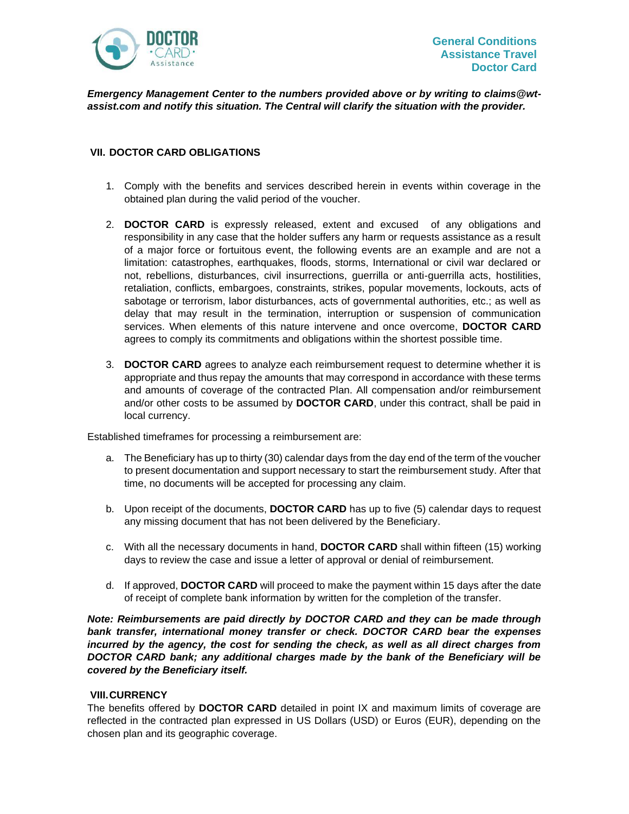

*Emergency Management Center to the numbers provided above or by writing to claims@wtassist.com and notify this situation. The Central will clarify the situation with the provider.*

## <span id="page-8-0"></span>**VII. DOCTOR CARD OBLIGATIONS**

- 1. Comply with the benefits and services described herein in events within coverage in the obtained plan during the valid period of the voucher.
- 2. **DOCTOR CARD** is expressly released, extent and excused of any obligations and responsibility in any case that the holder suffers any harm or requests assistance as a result of a major force or fortuitous event, the following events are an example and are not a limitation: catastrophes, earthquakes, floods, storms, International or civil war declared or not, rebellions, disturbances, civil insurrections, guerrilla or anti-guerrilla acts, hostilities, retaliation, conflicts, embargoes, constraints, strikes, popular movements, lockouts, acts of sabotage or terrorism, labor disturbances, acts of governmental authorities, etc.; as well as delay that may result in the termination, interruption or suspension of communication services. When elements of this nature intervene and once overcome, **DOCTOR CARD** agrees to comply its commitments and obligations within the shortest possible time.
- 3. **DOCTOR CARD** agrees to analyze each reimbursement request to determine whether it is appropriate and thus repay the amounts that may correspond in accordance with these terms and amounts of coverage of the contracted Plan. All compensation and/or reimbursement and/or other costs to be assumed by **DOCTOR CARD**, under this contract, shall be paid in local currency.

Established timeframes for processing a reimbursement are:

- a. The Beneficiary has up to thirty (30) calendar days from the day end of the term of the voucher to present documentation and support necessary to start the reimbursement study. After that time, no documents will be accepted for processing any claim.
- b. Upon receipt of the documents, **DOCTOR CARD** has up to five (5) calendar days to request any missing document that has not been delivered by the Beneficiary.
- c. With all the necessary documents in hand, **DOCTOR CARD** shall within fifteen (15) working days to review the case and issue a letter of approval or denial of reimbursement.
- d. If approved, **DOCTOR CARD** will proceed to make the payment within 15 days after the date of receipt of complete bank information by written for the completion of the transfer.

*Note: Reimbursements are paid directly by DOCTOR CARD and they can be made through bank transfer, international money transfer or check. DOCTOR CARD bear the expenses incurred by the agency, the cost for sending the check, as well as all direct charges from DOCTOR CARD bank; any additional charges made by the bank of the Beneficiary will be covered by the Beneficiary itself.*

#### <span id="page-8-1"></span>**VIII.CURRENCY**

The benefits offered by **DOCTOR CARD** detailed in point IX and maximum limits of coverage are reflected in the contracted plan expressed in US Dollars (USD) or Euros (EUR), depending on the chosen plan and its geographic coverage.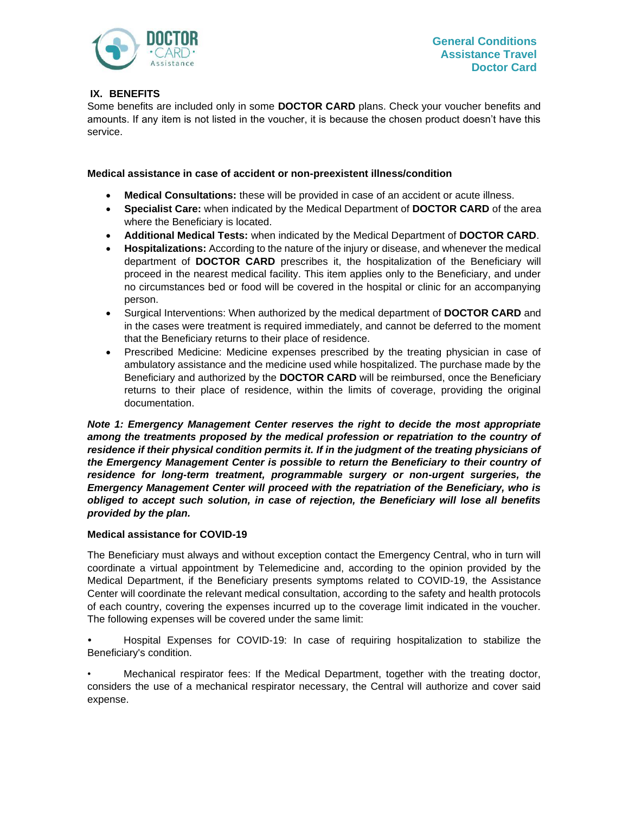

# <span id="page-9-0"></span>**IX. BENEFITS**

Some benefits are included only in some **DOCTOR CARD** plans. Check your voucher benefits and amounts. If any item is not listed in the voucher, it is because the chosen product doesn't have this service.

## **Medical assistance in case of accident or non-preexistent illness/condition**

- **Medical Consultations:** these will be provided in case of an accident or acute illness.
- **Specialist Care:** when indicated by the Medical Department of **DOCTOR CARD** of the area where the Beneficiary is located.
- **Additional Medical Tests:** when indicated by the Medical Department of **DOCTOR CARD**.
- **Hospitalizations:** According to the nature of the injury or disease, and whenever the medical department of **DOCTOR CARD** prescribes it, the hospitalization of the Beneficiary will proceed in the nearest medical facility. This item applies only to the Beneficiary, and under no circumstances bed or food will be covered in the hospital or clinic for an accompanying person.
- Surgical Interventions: When authorized by the medical department of **DOCTOR CARD** and in the cases were treatment is required immediately, and cannot be deferred to the moment that the Beneficiary returns to their place of residence.
- Prescribed Medicine: Medicine expenses prescribed by the treating physician in case of ambulatory assistance and the medicine used while hospitalized. The purchase made by the Beneficiary and authorized by the **DOCTOR CARD** will be reimbursed, once the Beneficiary returns to their place of residence, within the limits of coverage, providing the original documentation.

*Note 1: Emergency Management Center reserves the right to decide the most appropriate among the treatments proposed by the medical profession or repatriation to the country of* residence if their physical condition permits it. If in the judgment of the treating physicians of *the Emergency Management Center is possible to return the Beneficiary to their country of*  residence for long-term treatment, programmable surgery or non-urgent surgeries, the *Emergency Management Center will proceed with the repatriation of the Beneficiary, who is obliged to accept such solution, in case of rejection, the Beneficiary will lose all benefits provided by the plan.*

# **Medical assistance for COVID-19**

The Beneficiary must always and without exception contact the Emergency Central, who in turn will coordinate a virtual appointment by Telemedicine and, according to the opinion provided by the Medical Department, if the Beneficiary presents symptoms related to COVID-19, the Assistance Center will coordinate the relevant medical consultation, according to the safety and health protocols of each country, covering the expenses incurred up to the coverage limit indicated in the voucher. The following expenses will be covered under the same limit:

*•* Hospital Expenses for COVID-19: In case of requiring hospitalization to stabilize the Beneficiary's condition.

• Mechanical respirator fees: If the Medical Department, together with the treating doctor, considers the use of a mechanical respirator necessary, the Central will authorize and cover said expense.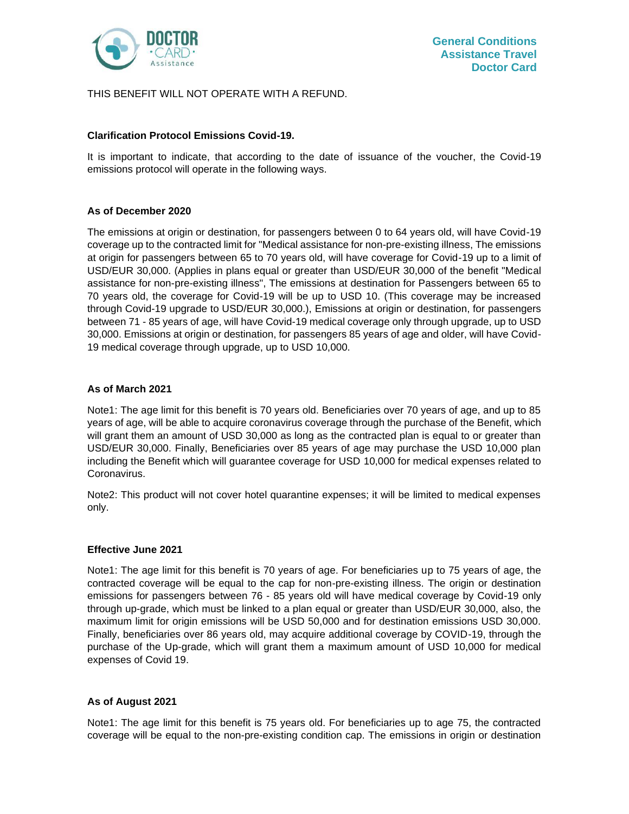

# THIS BENEFIT WILL NOT OPERATE WITH A REFUND.

# **Clarification Protocol Emissions Covid-19.**

It is important to indicate, that according to the date of issuance of the voucher, the Covid-19 emissions protocol will operate in the following ways.

# **As of December 2020**

The emissions at origin or destination, for passengers between 0 to 64 years old, will have Covid-19 coverage up to the contracted limit for "Medical assistance for non-pre-existing illness, The emissions at origin for passengers between 65 to 70 years old, will have coverage for Covid-19 up to a limit of USD/EUR 30,000. (Applies in plans equal or greater than USD/EUR 30,000 of the benefit "Medical assistance for non-pre-existing illness", The emissions at destination for Passengers between 65 to 70 years old, the coverage for Covid-19 will be up to USD 10. (This coverage may be increased through Covid-19 upgrade to USD/EUR 30,000.), Emissions at origin or destination, for passengers between 71 - 85 years of age, will have Covid-19 medical coverage only through upgrade, up to USD 30,000. Emissions at origin or destination, for passengers 85 years of age and older, will have Covid-19 medical coverage through upgrade, up to USD 10,000.

# **As of March 2021**

Note1: The age limit for this benefit is 70 years old. Beneficiaries over 70 years of age, and up to 85 years of age, will be able to acquire coronavirus coverage through the purchase of the Benefit, which will grant them an amount of USD 30,000 as long as the contracted plan is equal to or greater than USD/EUR 30,000. Finally, Beneficiaries over 85 years of age may purchase the USD 10,000 plan including the Benefit which will guarantee coverage for USD 10,000 for medical expenses related to Coronavirus.

Note2: This product will not cover hotel quarantine expenses; it will be limited to medical expenses only.

#### **Effective June 2021**

Note1: The age limit for this benefit is 70 years of age. For beneficiaries up to 75 years of age, the contracted coverage will be equal to the cap for non-pre-existing illness. The origin or destination emissions for passengers between 76 - 85 years old will have medical coverage by Covid-19 only through up-grade, which must be linked to a plan equal or greater than USD/EUR 30,000, also, the maximum limit for origin emissions will be USD 50,000 and for destination emissions USD 30,000. Finally, beneficiaries over 86 years old, may acquire additional coverage by COVID-19, through the purchase of the Up-grade, which will grant them a maximum amount of USD 10,000 for medical expenses of Covid 19.

#### **As of August 2021**

Note1: The age limit for this benefit is 75 years old. For beneficiaries up to age 75, the contracted coverage will be equal to the non-pre-existing condition cap. The emissions in origin or destination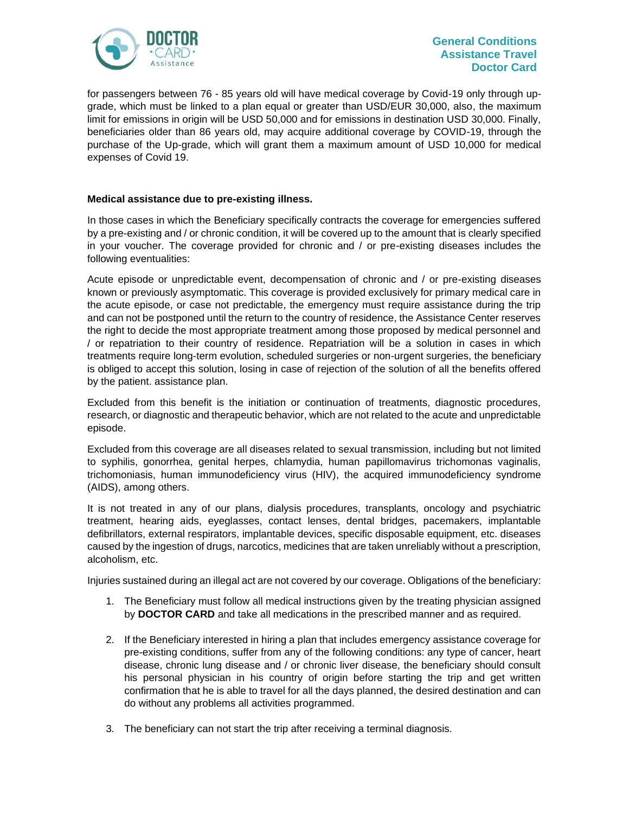

for passengers between 76 - 85 years old will have medical coverage by Covid-19 only through upgrade, which must be linked to a plan equal or greater than USD/EUR 30,000, also, the maximum limit for emissions in origin will be USD 50,000 and for emissions in destination USD 30,000. Finally, beneficiaries older than 86 years old, may acquire additional coverage by COVID-19, through the purchase of the Up-grade, which will grant them a maximum amount of USD 10,000 for medical expenses of Covid 19.

# **Medical assistance due to pre-existing illness.**

In those cases in which the Beneficiary specifically contracts the coverage for emergencies suffered by a pre-existing and / or chronic condition, it will be covered up to the amount that is clearly specified in your voucher. The coverage provided for chronic and / or pre-existing diseases includes the following eventualities:

Acute episode or unpredictable event, decompensation of chronic and / or pre-existing diseases known or previously asymptomatic. This coverage is provided exclusively for primary medical care in the acute episode, or case not predictable, the emergency must require assistance during the trip and can not be postponed until the return to the country of residence, the Assistance Center reserves the right to decide the most appropriate treatment among those proposed by medical personnel and / or repatriation to their country of residence. Repatriation will be a solution in cases in which treatments require long-term evolution, scheduled surgeries or non-urgent surgeries, the beneficiary is obliged to accept this solution, losing in case of rejection of the solution of all the benefits offered by the patient. assistance plan.

Excluded from this benefit is the initiation or continuation of treatments, diagnostic procedures, research, or diagnostic and therapeutic behavior, which are not related to the acute and unpredictable episode.

Excluded from this coverage are all diseases related to sexual transmission, including but not limited to syphilis, gonorrhea, genital herpes, chlamydia, human papillomavirus trichomonas vaginalis, trichomoniasis, human immunodeficiency virus (HIV), the acquired immunodeficiency syndrome (AIDS), among others.

It is not treated in any of our plans, dialysis procedures, transplants, oncology and psychiatric treatment, hearing aids, eyeglasses, contact lenses, dental bridges, pacemakers, implantable defibrillators, external respirators, implantable devices, specific disposable equipment, etc. diseases caused by the ingestion of drugs, narcotics, medicines that are taken unreliably without a prescription, alcoholism, etc.

Injuries sustained during an illegal act are not covered by our coverage. Obligations of the beneficiary:

- 1. The Beneficiary must follow all medical instructions given by the treating physician assigned by **DOCTOR CARD** and take all medications in the prescribed manner and as required.
- 2. If the Beneficiary interested in hiring a plan that includes emergency assistance coverage for pre-existing conditions, suffer from any of the following conditions: any type of cancer, heart disease, chronic lung disease and / or chronic liver disease, the beneficiary should consult his personal physician in his country of origin before starting the trip and get written confirmation that he is able to travel for all the days planned, the desired destination and can do without any problems all activities programmed.
- 3. The beneficiary can not start the trip after receiving a terminal diagnosis.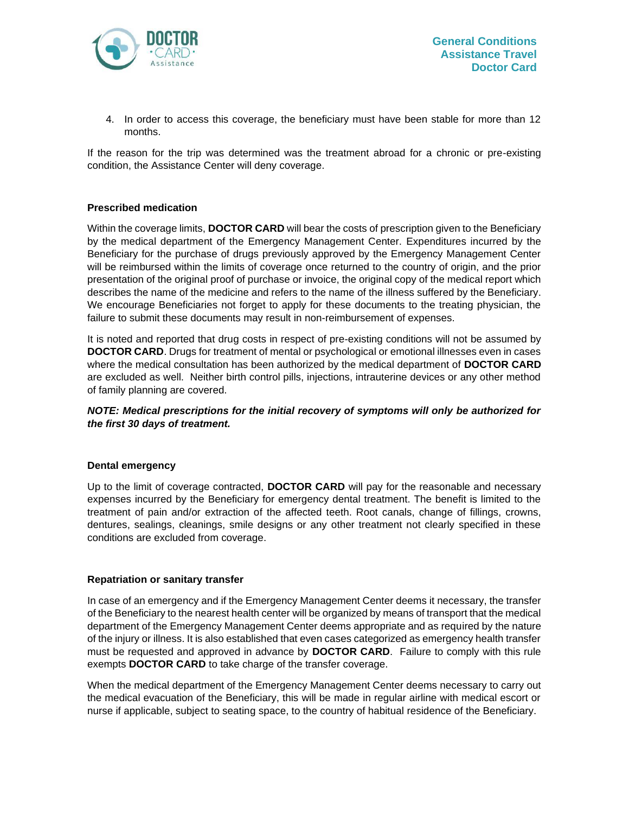

4. In order to access this coverage, the beneficiary must have been stable for more than 12 months.

If the reason for the trip was determined was the treatment abroad for a chronic or pre-existing condition, the Assistance Center will deny coverage.

## **Prescribed medication**

Within the coverage limits, **DOCTOR CARD** will bear the costs of prescription given to the Beneficiary by the medical department of the Emergency Management Center. Expenditures incurred by the Beneficiary for the purchase of drugs previously approved by the Emergency Management Center will be reimbursed within the limits of coverage once returned to the country of origin, and the prior presentation of the original proof of purchase or invoice, the original copy of the medical report which describes the name of the medicine and refers to the name of the illness suffered by the Beneficiary. We encourage Beneficiaries not forget to apply for these documents to the treating physician, the failure to submit these documents may result in non-reimbursement of expenses.

It is noted and reported that drug costs in respect of pre-existing conditions will not be assumed by **DOCTOR CARD**. Drugs for treatment of mental or psychological or emotional illnesses even in cases where the medical consultation has been authorized by the medical department of **DOCTOR CARD** are excluded as well. Neither birth control pills, injections, intrauterine devices or any other method of family planning are covered.

*NOTE: Medical prescriptions for the initial recovery of symptoms will only be authorized for the first 30 days of treatment.*

#### **Dental emergency**

Up to the limit of coverage contracted, **DOCTOR CARD** will pay for the reasonable and necessary expenses incurred by the Beneficiary for emergency dental treatment. The benefit is limited to the treatment of pain and/or extraction of the affected teeth. Root canals, change of fillings, crowns, dentures, sealings, cleanings, smile designs or any other treatment not clearly specified in these conditions are excluded from coverage.

#### **Repatriation or sanitary transfer**

In case of an emergency and if the Emergency Management Center deems it necessary, the transfer of the Beneficiary to the nearest health center will be organized by means of transport that the medical department of the Emergency Management Center deems appropriate and as required by the nature of the injury or illness. It is also established that even cases categorized as emergency health transfer must be requested and approved in advance by **DOCTOR CARD**. Failure to comply with this rule exempts **DOCTOR CARD** to take charge of the transfer coverage.

When the medical department of the Emergency Management Center deems necessary to carry out the medical evacuation of the Beneficiary, this will be made in regular airline with medical escort or nurse if applicable, subject to seating space, to the country of habitual residence of the Beneficiary.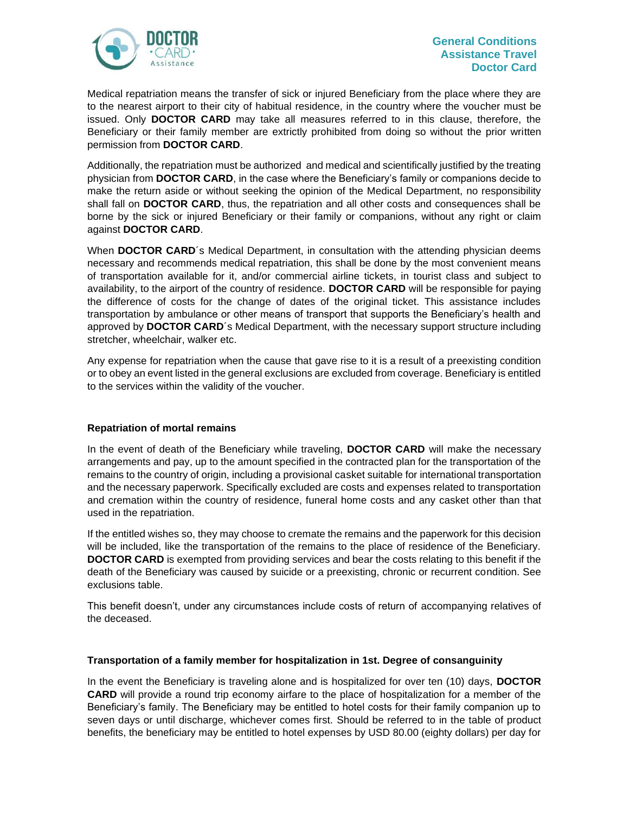

Medical repatriation means the transfer of sick or injured Beneficiary from the place where they are to the nearest airport to their city of habitual residence, in the country where the voucher must be issued. Only **DOCTOR CARD** may take all measures referred to in this clause, therefore, the Beneficiary or their family member are extrictly prohibited from doing so without the prior written permission from **DOCTOR CARD**.

Additionally, the repatriation must be authorized and medical and scientifically justified by the treating physician from **DOCTOR CARD**, in the case where the Beneficiary's family or companions decide to make the return aside or without seeking the opinion of the Medical Department, no responsibility shall fall on **DOCTOR CARD**, thus, the repatriation and all other costs and consequences shall be borne by the sick or injured Beneficiary or their family or companions, without any right or claim against **DOCTOR CARD**.

When **DOCTOR CARD**'s Medical Department, in consultation with the attending physician deems necessary and recommends medical repatriation, this shall be done by the most convenient means of transportation available for it, and/or commercial airline tickets, in tourist class and subject to availability, to the airport of the country of residence. **DOCTOR CARD** will be responsible for paying the difference of costs for the change of dates of the original ticket. This assistance includes transportation by ambulance or other means of transport that supports the Beneficiary's health and approved by **DOCTOR CARD**´s Medical Department, with the necessary support structure including stretcher, wheelchair, walker etc.

Any expense for repatriation when the cause that gave rise to it is a result of a preexisting condition or to obey an event listed in the general exclusions are excluded from coverage. Beneficiary is entitled to the services within the validity of the voucher.

#### **Repatriation of mortal remains**

In the event of death of the Beneficiary while traveling, **DOCTOR CARD** will make the necessary arrangements and pay, up to the amount specified in the contracted plan for the transportation of the remains to the country of origin, including a provisional casket suitable for international transportation and the necessary paperwork. Specifically excluded are costs and expenses related to transportation and cremation within the country of residence, funeral home costs and any casket other than that used in the repatriation.

If the entitled wishes so, they may choose to cremate the remains and the paperwork for this decision will be included, like the transportation of the remains to the place of residence of the Beneficiary. **DOCTOR CARD** is exempted from providing services and bear the costs relating to this benefit if the death of the Beneficiary was caused by suicide or a preexisting, chronic or recurrent condition. See exclusions table.

This benefit doesn't, under any circumstances include costs of return of accompanying relatives of the deceased.

#### **Transportation of a family member for hospitalization in 1st. Degree of consanguinity**

In the event the Beneficiary is traveling alone and is hospitalized for over ten (10) days, **DOCTOR CARD** will provide a round trip economy airfare to the place of hospitalization for a member of the Beneficiary's family. The Beneficiary may be entitled to hotel costs for their family companion up to seven days or until discharge, whichever comes first. Should be referred to in the table of product benefits, the beneficiary may be entitled to hotel expenses by USD 80.00 (eighty dollars) per day for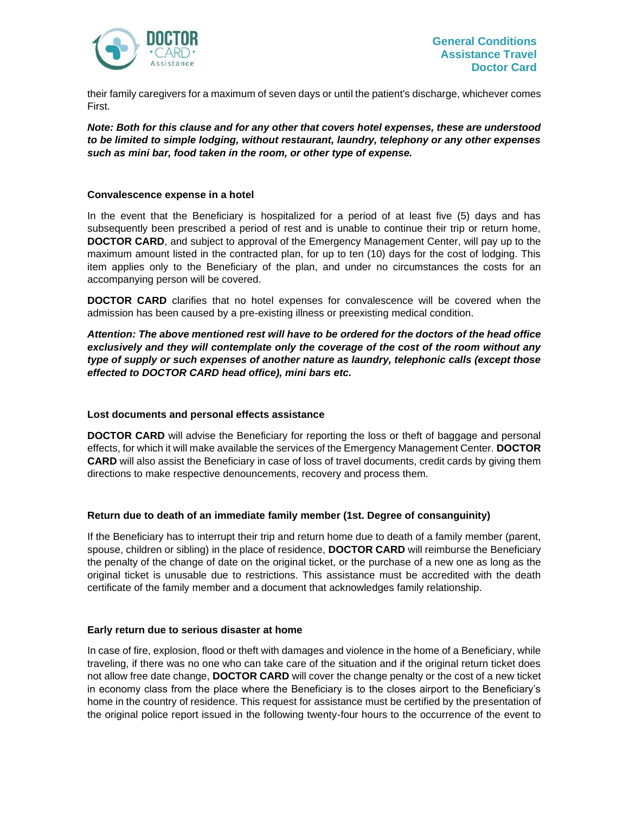

their family caregivers for a maximum of seven days or until the patient's discharge, whichever comes First.

*Note: Both for this clause and for any other that covers hotel expenses, these are understood to be limited to simple lodging, without restaurant, laundry, telephony or any other expenses such as mini bar, food taken in the room, or other type of expense.*

#### **Convalescence expense in a hotel**

In the event that the Beneficiary is hospitalized for a period of at least five (5) days and has subsequently been prescribed a period of rest and is unable to continue their trip or return home, **DOCTOR CARD**, and subject to approval of the Emergency Management Center, will pay up to the maximum amount listed in the contracted plan, for up to ten (10) days for the cost of lodging. This item applies only to the Beneficiary of the plan, and under no circumstances the costs for an accompanying person will be covered.

**DOCTOR CARD** clarifies that no hotel expenses for convalescence will be covered when the admission has been caused by a pre-existing illness or preexisting medical condition.

*Attention: The above mentioned rest will have to be ordered for the doctors of the head office exclusively and they will contemplate only the coverage of the cost of the room without any type of supply or such expenses of another nature as laundry, telephonic calls (except those effected to DOCTOR CARD head office), mini bars etc.*

#### **Lost documents and personal effects assistance**

**DOCTOR CARD** will advise the Beneficiary for reporting the loss or theft of baggage and personal effects, for which it will make available the services of the Emergency Management Center. **DOCTOR CARD** will also assist the Beneficiary in case of loss of travel documents, credit cards by giving them directions to make respective denouncements, recovery and process them.

#### **Return due to death of an immediate family member (1st. Degree of consanguinity)**

If the Beneficiary has to interrupt their trip and return home due to death of a family member (parent, spouse, children or sibling) in the place of residence, **DOCTOR CARD** will reimburse the Beneficiary the penalty of the change of date on the original ticket, or the purchase of a new one as long as the original ticket is unusable due to restrictions. This assistance must be accredited with the death certificate of the family member and a document that acknowledges family relationship.

#### **Early return due to serious disaster at home**

In case of fire, explosion, flood or theft with damages and violence in the home of a Beneficiary, while traveling, if there was no one who can take care of the situation and if the original return ticket does not allow free date change, **DOCTOR CARD** will cover the change penalty or the cost of a new ticket in economy class from the place where the Beneficiary is to the closes airport to the Beneficiary's home in the country of residence. This request for assistance must be certified by the presentation of the original police report issued in the following twenty-four hours to the occurrence of the event to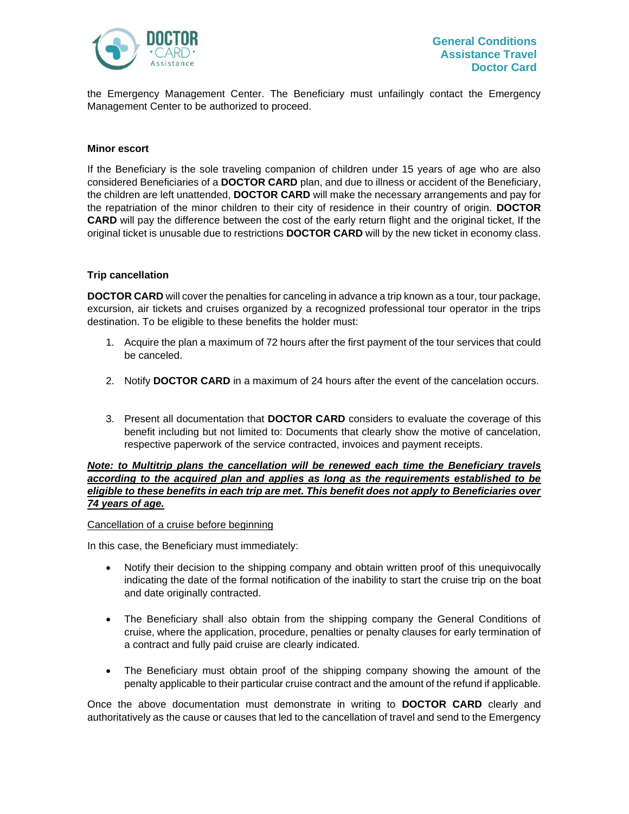

the Emergency Management Center. The Beneficiary must unfailingly contact the Emergency Management Center to be authorized to proceed.

#### **Minor escort**

If the Beneficiary is the sole traveling companion of children under 15 years of age who are also considered Beneficiaries of a **DOCTOR CARD** plan, and due to illness or accident of the Beneficiary, the children are left unattended, **DOCTOR CARD** will make the necessary arrangements and pay for the repatriation of the minor children to their city of residence in their country of origin. **DOCTOR CARD** will pay the difference between the cost of the early return flight and the original ticket, If the original ticket is unusable due to restrictions **DOCTOR CARD** will by the new ticket in economy class.

#### **Trip cancellation**

**DOCTOR CARD** will cover the penalties for canceling in advance a trip known as a tour, tour package, excursion, air tickets and cruises organized by a recognized professional tour operator in the trips destination. To be eligible to these benefits the holder must:

- 1. Acquire the plan a maximum of 72 hours after the first payment of the tour services that could be canceled.
- 2. Notify **DOCTOR CARD** in a maximum of 24 hours after the event of the cancelation occurs.
- 3. Present all documentation that **DOCTOR CARD** considers to evaluate the coverage of this benefit including but not limited to: Documents that clearly show the motive of cancelation, respective paperwork of the service contracted, invoices and payment receipts.

*Note: to Multitrip plans the cancellation will be renewed each time the Beneficiary travels according to the acquired plan and applies as long as the requirements established to be eligible to these benefits in each trip are met. This benefit does not apply to Beneficiaries over 74 years of age.*

Cancellation of a cruise before beginning

In this case, the Beneficiary must immediately:

- Notify their decision to the shipping company and obtain written proof of this unequivocally indicating the date of the formal notification of the inability to start the cruise trip on the boat and date originally contracted.
- The Beneficiary shall also obtain from the shipping company the General Conditions of cruise, where the application, procedure, penalties or penalty clauses for early termination of a contract and fully paid cruise are clearly indicated.
- The Beneficiary must obtain proof of the shipping company showing the amount of the penalty applicable to their particular cruise contract and the amount of the refund if applicable.

Once the above documentation must demonstrate in writing to **DOCTOR CARD** clearly and authoritatively as the cause or causes that led to the cancellation of travel and send to the Emergency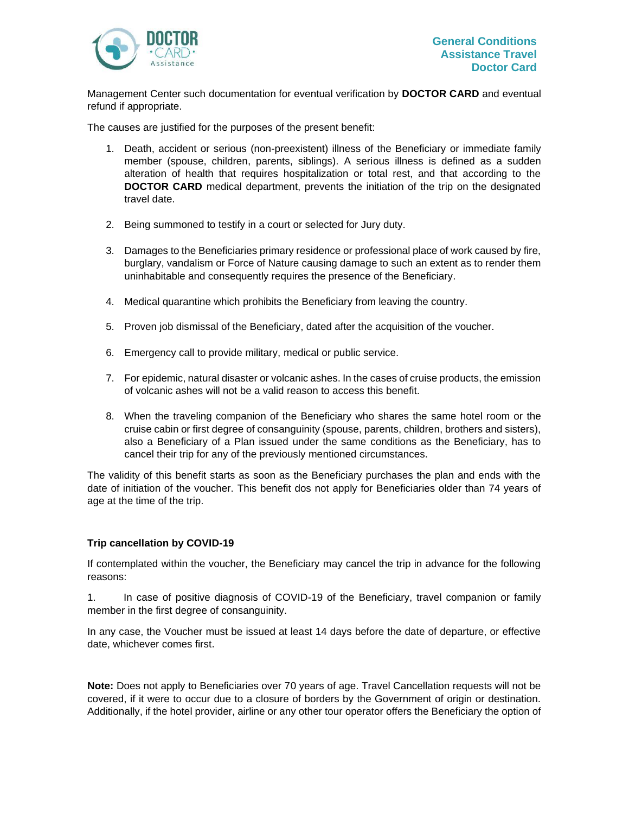

Management Center such documentation for eventual verification by **DOCTOR CARD** and eventual refund if appropriate.

The causes are justified for the purposes of the present benefit:

- 1. Death, accident or serious (non-preexistent) illness of the Beneficiary or immediate family member (spouse, children, parents, siblings). A serious illness is defined as a sudden alteration of health that requires hospitalization or total rest, and that according to the **DOCTOR CARD** medical department, prevents the initiation of the trip on the designated travel date.
- 2. Being summoned to testify in a court or selected for Jury duty.
- 3. Damages to the Beneficiaries primary residence or professional place of work caused by fire, burglary, vandalism or Force of Nature causing damage to such an extent as to render them uninhabitable and consequently requires the presence of the Beneficiary.
- 4. Medical quarantine which prohibits the Beneficiary from leaving the country.
- 5. Proven job dismissal of the Beneficiary, dated after the acquisition of the voucher.
- 6. Emergency call to provide military, medical or public service.
- 7. For epidemic, natural disaster or volcanic ashes. In the cases of cruise products, the emission of volcanic ashes will not be a valid reason to access this benefit.
- 8. When the traveling companion of the Beneficiary who shares the same hotel room or the cruise cabin or first degree of consanguinity (spouse, parents, children, brothers and sisters), also a Beneficiary of a Plan issued under the same conditions as the Beneficiary, has to cancel their trip for any of the previously mentioned circumstances.

The validity of this benefit starts as soon as the Beneficiary purchases the plan and ends with the date of initiation of the voucher. This benefit dos not apply for Beneficiaries older than 74 years of age at the time of the trip.

#### **Trip cancellation by COVID-19**

If contemplated within the voucher, the Beneficiary may cancel the trip in advance for the following reasons:

1. In case of positive diagnosis of COVID-19 of the Beneficiary, travel companion or family member in the first degree of consanguinity.

In any case, the Voucher must be issued at least 14 days before the date of departure, or effective date, whichever comes first.

**Note:** Does not apply to Beneficiaries over 70 years of age. Travel Cancellation requests will not be covered, if it were to occur due to a closure of borders by the Government of origin or destination. Additionally, if the hotel provider, airline or any other tour operator offers the Beneficiary the option of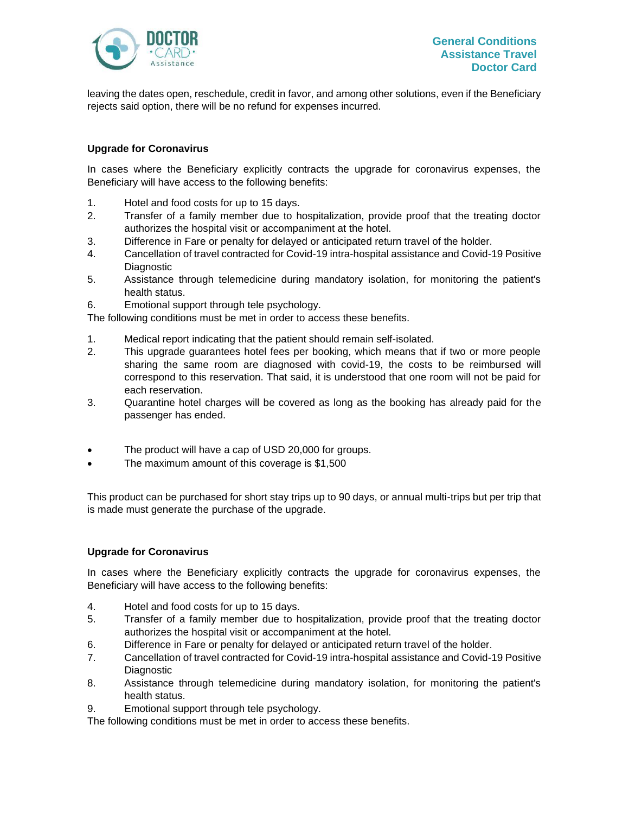

leaving the dates open, reschedule, credit in favor, and among other solutions, even if the Beneficiary rejects said option, there will be no refund for expenses incurred.

# **Upgrade for Coronavirus**

In cases where the Beneficiary explicitly contracts the upgrade for coronavirus expenses, the Beneficiary will have access to the following benefits:

- 1. Hotel and food costs for up to 15 days.
- 2. Transfer of a family member due to hospitalization, provide proof that the treating doctor authorizes the hospital visit or accompaniment at the hotel.
- 3. Difference in Fare or penalty for delayed or anticipated return travel of the holder.
- 4. Cancellation of travel contracted for Covid-19 intra-hospital assistance and Covid-19 Positive Diagnostic
- 5. Assistance through telemedicine during mandatory isolation, for monitoring the patient's health status.
- 6. Emotional support through tele psychology.

The following conditions must be met in order to access these benefits.

- 1. Medical report indicating that the patient should remain self-isolated.
- 2. This upgrade guarantees hotel fees per booking, which means that if two or more people sharing the same room are diagnosed with covid-19, the costs to be reimbursed will correspond to this reservation. That said, it is understood that one room will not be paid for each reservation.
- 3. Quarantine hotel charges will be covered as long as the booking has already paid for the passenger has ended.
- The product will have a cap of USD 20,000 for groups.
- The maximum amount of this coverage is \$1,500

This product can be purchased for short stay trips up to 90 days, or annual multi-trips but per trip that is made must generate the purchase of the upgrade.

# **Upgrade for Coronavirus**

In cases where the Beneficiary explicitly contracts the upgrade for coronavirus expenses, the Beneficiary will have access to the following benefits:

- 4. Hotel and food costs for up to 15 days.
- 5. Transfer of a family member due to hospitalization, provide proof that the treating doctor authorizes the hospital visit or accompaniment at the hotel.
- 6. Difference in Fare or penalty for delayed or anticipated return travel of the holder.
- 7. Cancellation of travel contracted for Covid-19 intra-hospital assistance and Covid-19 Positive Diagnostic
- 8. Assistance through telemedicine during mandatory isolation, for monitoring the patient's health status.
- 9. Emotional support through tele psychology.

The following conditions must be met in order to access these benefits.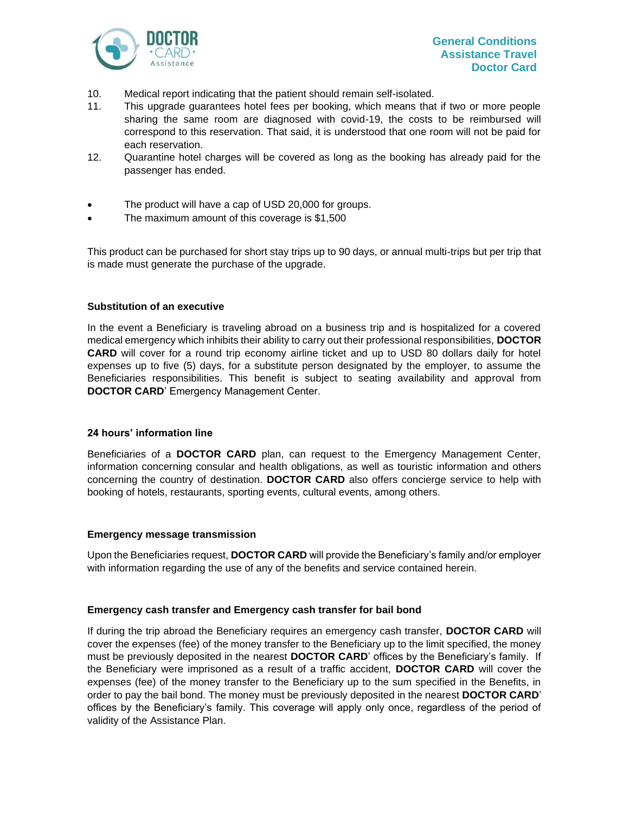

- 10. Medical report indicating that the patient should remain self-isolated.
- 11. This upgrade guarantees hotel fees per booking, which means that if two or more people sharing the same room are diagnosed with covid-19, the costs to be reimbursed will correspond to this reservation. That said, it is understood that one room will not be paid for each reservation.
- 12. Quarantine hotel charges will be covered as long as the booking has already paid for the passenger has ended.
- The product will have a cap of USD 20,000 for groups.
- The maximum amount of this coverage is \$1,500

This product can be purchased for short stay trips up to 90 days, or annual multi-trips but per trip that is made must generate the purchase of the upgrade.

#### **Substitution of an executive**

In the event a Beneficiary is traveling abroad on a business trip and is hospitalized for a covered medical emergency which inhibits their ability to carry out their professional responsibilities, **DOCTOR CARD** will cover for a round trip economy airline ticket and up to USD 80 dollars daily for hotel expenses up to five (5) days, for a substitute person designated by the employer, to assume the Beneficiaries responsibilities. This benefit is subject to seating availability and approval from **DOCTOR CARD**' Emergency Management Center.

#### **24 hours' information line**

Beneficiaries of a **DOCTOR CARD** plan, can request to the Emergency Management Center, information concerning consular and health obligations, as well as touristic information and others concerning the country of destination. **DOCTOR CARD** also offers concierge service to help with booking of hotels, restaurants, sporting events, cultural events, among others.

#### **Emergency message transmission**

Upon the Beneficiaries request, **DOCTOR CARD** will provide the Beneficiary's family and/or employer with information regarding the use of any of the benefits and service contained herein.

#### **Emergency cash transfer and Emergency cash transfer for bail bond**

If during the trip abroad the Beneficiary requires an emergency cash transfer, **DOCTOR CARD** will cover the expenses (fee) of the money transfer to the Beneficiary up to the limit specified, the money must be previously deposited in the nearest **DOCTOR CARD**' offices by the Beneficiary's family. If the Beneficiary were imprisoned as a result of a traffic accident, **DOCTOR CARD** will cover the expenses (fee) of the money transfer to the Beneficiary up to the sum specified in the Benefits, in order to pay the bail bond. The money must be previously deposited in the nearest **DOCTOR CARD**' offices by the Beneficiary's family. This coverage will apply only once, regardless of the period of validity of the Assistance Plan.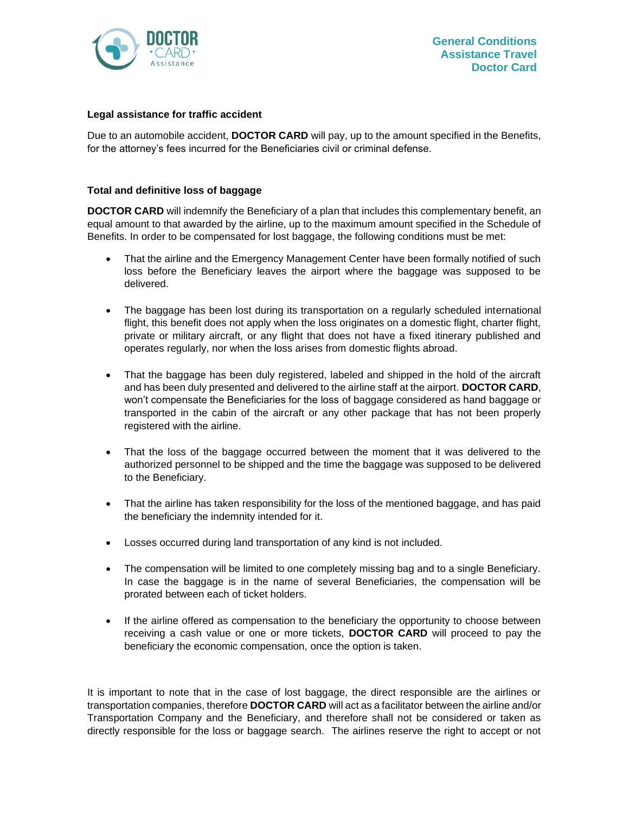

#### **Legal assistance for traffic accident**

Due to an automobile accident, **DOCTOR CARD** will pay, up to the amount specified in the Benefits, for the attorney's fees incurred for the Beneficiaries civil or criminal defense.

# **Total and definitive loss of baggage**

**DOCTOR CARD** will indemnify the Beneficiary of a plan that includes this complementary benefit, an equal amount to that awarded by the airline, up to the maximum amount specified in the Schedule of Benefits. In order to be compensated for lost baggage, the following conditions must be met:

- That the airline and the Emergency Management Center have been formally notified of such loss before the Beneficiary leaves the airport where the baggage was supposed to be delivered.
- The baggage has been lost during its transportation on a regularly scheduled international flight, this benefit does not apply when the loss originates on a domestic flight, charter flight, private or military aircraft, or any flight that does not have a fixed itinerary published and operates regularly, nor when the loss arises from domestic flights abroad.
- That the baggage has been duly registered, labeled and shipped in the hold of the aircraft and has been duly presented and delivered to the airline staff at the airport. **DOCTOR CARD**, won't compensate the Beneficiaries for the loss of baggage considered as hand baggage or transported in the cabin of the aircraft or any other package that has not been properly registered with the airline.
- That the loss of the baggage occurred between the moment that it was delivered to the authorized personnel to be shipped and the time the baggage was supposed to be delivered to the Beneficiary.
- That the airline has taken responsibility for the loss of the mentioned baggage, and has paid the beneficiary the indemnity intended for it.
- Losses occurred during land transportation of any kind is not included.
- The compensation will be limited to one completely missing bag and to a single Beneficiary. In case the baggage is in the name of several Beneficiaries, the compensation will be prorated between each of ticket holders.
- If the airline offered as compensation to the beneficiary the opportunity to choose between receiving a cash value or one or more tickets, **DOCTOR CARD** will proceed to pay the beneficiary the economic compensation, once the option is taken.

It is important to note that in the case of lost baggage, the direct responsible are the airlines or transportation companies, therefore **DOCTOR CARD** will act as a facilitator between the airline and/or Transportation Company and the Beneficiary, and therefore shall not be considered or taken as directly responsible for the loss or baggage search. The airlines reserve the right to accept or not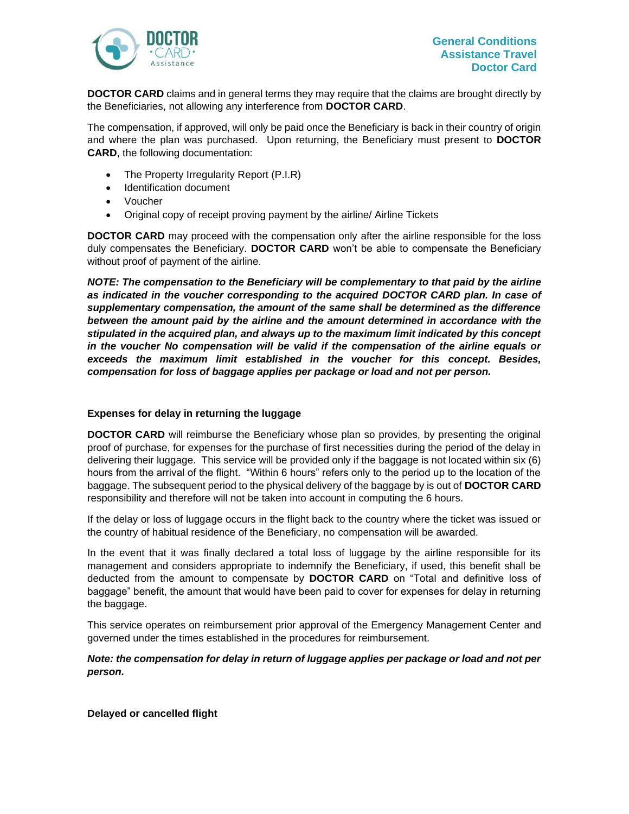

**DOCTOR CARD** claims and in general terms they may require that the claims are brought directly by the Beneficiaries, not allowing any interference from **DOCTOR CARD**.

The compensation, if approved, will only be paid once the Beneficiary is back in their country of origin and where the plan was purchased. Upon returning, the Beneficiary must present to **DOCTOR CARD**, the following documentation:

- The Property Irregularity Report (P.I.R)
- Identification document
- Voucher
- Original copy of receipt proving payment by the airline/ Airline Tickets

**DOCTOR CARD** may proceed with the compensation only after the airline responsible for the loss duly compensates the Beneficiary. **DOCTOR CARD** won't be able to compensate the Beneficiary without proof of payment of the airline.

*NOTE: The compensation to the Beneficiary will be complementary to that paid by the airline as indicated in the voucher corresponding to the acquired DOCTOR CARD plan. In case of supplementary compensation, the amount of the same shall be determined as the difference between the amount paid by the airline and the amount determined in accordance with the stipulated in the acquired plan, and always up to the maximum limit indicated by this concept in the voucher No compensation will be valid if the compensation of the airline equals or exceeds the maximum limit established in the voucher for this concept. Besides, compensation for loss of baggage applies per package or load and not per person.*

#### **Expenses for delay in returning the luggage**

**DOCTOR CARD** will reimburse the Beneficiary whose plan so provides, by presenting the original proof of purchase, for expenses for the purchase of first necessities during the period of the delay in delivering their luggage. This service will be provided only if the baggage is not located within six (6) hours from the arrival of the flight. "Within 6 hours" refers only to the period up to the location of the baggage. The subsequent period to the physical delivery of the baggage by is out of **DOCTOR CARD** responsibility and therefore will not be taken into account in computing the 6 hours.

If the delay or loss of luggage occurs in the flight back to the country where the ticket was issued or the country of habitual residence of the Beneficiary, no compensation will be awarded.

In the event that it was finally declared a total loss of luggage by the airline responsible for its management and considers appropriate to indemnify the Beneficiary, if used, this benefit shall be deducted from the amount to compensate by **DOCTOR CARD** on "Total and definitive loss of baggage" benefit, the amount that would have been paid to cover for expenses for delay in returning the baggage.

This service operates on reimbursement prior approval of the Emergency Management Center and governed under the times established in the procedures for reimbursement.

# *Note: the compensation for delay in return of luggage applies per package or load and not per person.*

**Delayed or cancelled flight**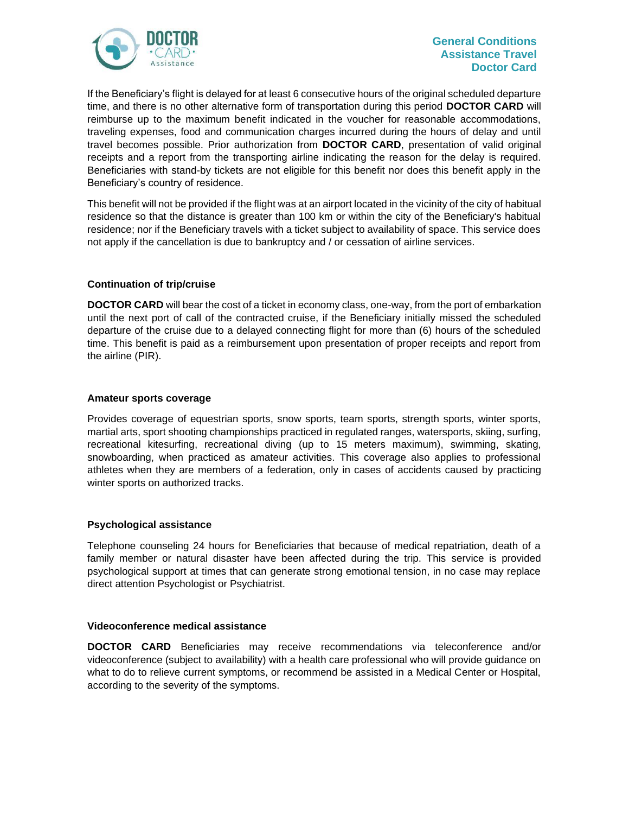

If the Beneficiary's flight is delayed for at least 6 consecutive hours of the original scheduled departure time, and there is no other alternative form of transportation during this period **DOCTOR CARD** will reimburse up to the maximum benefit indicated in the voucher for reasonable accommodations, traveling expenses, food and communication charges incurred during the hours of delay and until travel becomes possible. Prior authorization from **DOCTOR CARD**, presentation of valid original receipts and a report from the transporting airline indicating the reason for the delay is required. Beneficiaries with stand-by tickets are not eligible for this benefit nor does this benefit apply in the Beneficiary's country of residence.

This benefit will not be provided if the flight was at an airport located in the vicinity of the city of habitual residence so that the distance is greater than 100 km or within the city of the Beneficiary's habitual residence; nor if the Beneficiary travels with a ticket subject to availability of space. This service does not apply if the cancellation is due to bankruptcy and / or cessation of airline services.

# **Continuation of trip/cruise**

**DOCTOR CARD** will bear the cost of a ticket in economy class, one-way, from the port of embarkation until the next port of call of the contracted cruise, if the Beneficiary initially missed the scheduled departure of the cruise due to a delayed connecting flight for more than (6) hours of the scheduled time. This benefit is paid as a reimbursement upon presentation of proper receipts and report from the airline (PIR).

#### **Amateur sports coverage**

Provides coverage of equestrian sports, snow sports, team sports, strength sports, winter sports, martial arts, sport shooting championships practiced in regulated ranges, watersports, skiing, surfing, recreational kitesurfing, recreational diving (up to 15 meters maximum), swimming, skating, snowboarding, when practiced as amateur activities. This coverage also applies to professional athletes when they are members of a federation, only in cases of accidents caused by practicing winter sports on authorized tracks.

#### **Psychological assistance**

Telephone counseling 24 hours for Beneficiaries that because of medical repatriation, death of a family member or natural disaster have been affected during the trip. This service is provided psychological support at times that can generate strong emotional tension, in no case may replace direct attention Psychologist or Psychiatrist.

#### **Videoconference medical assistance**

**DOCTOR CARD** Beneficiaries may receive recommendations via teleconference and/or videoconference (subject to availability) with a health care professional who will provide guidance on what to do to relieve current symptoms, or recommend be assisted in a Medical Center or Hospital, according to the severity of the symptoms.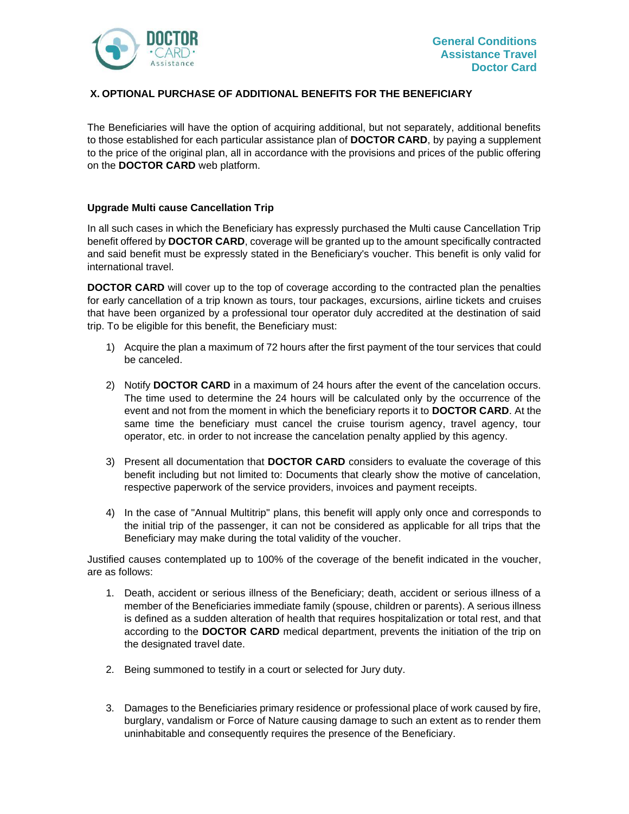

# <span id="page-22-0"></span>**X. OPTIONAL PURCHASE OF ADDITIONAL BENEFITS FOR THE BENEFICIARY**

The Beneficiaries will have the option of acquiring additional, but not separately, additional benefits to those established for each particular assistance plan of **DOCTOR CARD**, by paying a supplement to the price of the original plan, all in accordance with the provisions and prices of the public offering on the **DOCTOR CARD** web platform.

# **Upgrade Multi cause Cancellation Trip**

In all such cases in which the Beneficiary has expressly purchased the Multi cause Cancellation Trip benefit offered by **DOCTOR CARD**, coverage will be granted up to the amount specifically contracted and said benefit must be expressly stated in the Beneficiary's voucher. This benefit is only valid for international travel.

**DOCTOR CARD** will cover up to the top of coverage according to the contracted plan the penalties for early cancellation of a trip known as tours, tour packages, excursions, airline tickets and cruises that have been organized by a professional tour operator duly accredited at the destination of said trip. To be eligible for this benefit, the Beneficiary must:

- 1) Acquire the plan a maximum of 72 hours after the first payment of the tour services that could be canceled.
- 2) Notify **DOCTOR CARD** in a maximum of 24 hours after the event of the cancelation occurs. The time used to determine the 24 hours will be calculated only by the occurrence of the event and not from the moment in which the beneficiary reports it to **DOCTOR CARD**. At the same time the beneficiary must cancel the cruise tourism agency, travel agency, tour operator, etc. in order to not increase the cancelation penalty applied by this agency.
- 3) Present all documentation that **DOCTOR CARD** considers to evaluate the coverage of this benefit including but not limited to: Documents that clearly show the motive of cancelation, respective paperwork of the service providers, invoices and payment receipts.
- 4) In the case of "Annual Multitrip" plans, this benefit will apply only once and corresponds to the initial trip of the passenger, it can not be considered as applicable for all trips that the Beneficiary may make during the total validity of the voucher.

Justified causes contemplated up to 100% of the coverage of the benefit indicated in the voucher, are as follows:

- 1. Death, accident or serious illness of the Beneficiary; death, accident or serious illness of a member of the Beneficiaries immediate family (spouse, children or parents). A serious illness is defined as a sudden alteration of health that requires hospitalization or total rest, and that according to the **DOCTOR CARD** medical department, prevents the initiation of the trip on the designated travel date.
- 2. Being summoned to testify in a court or selected for Jury duty.
- 3. Damages to the Beneficiaries primary residence or professional place of work caused by fire, burglary, vandalism or Force of Nature causing damage to such an extent as to render them uninhabitable and consequently requires the presence of the Beneficiary.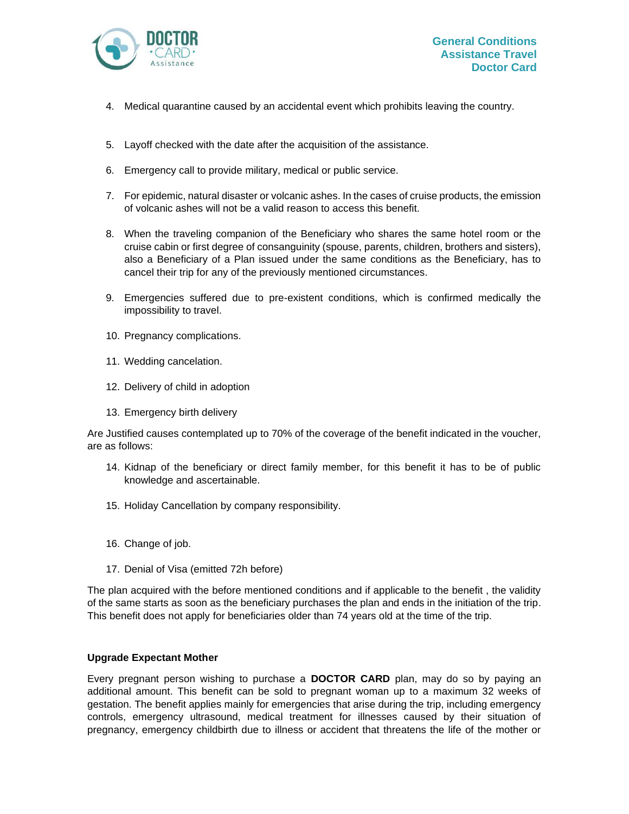

- 4. Medical quarantine caused by an accidental event which prohibits leaving the country.
- 5. Layoff checked with the date after the acquisition of the assistance.
- 6. Emergency call to provide military, medical or public service.
- 7. For epidemic, natural disaster or volcanic ashes. In the cases of cruise products, the emission of volcanic ashes will not be a valid reason to access this benefit.
- 8. When the traveling companion of the Beneficiary who shares the same hotel room or the cruise cabin or first degree of consanguinity (spouse, parents, children, brothers and sisters), also a Beneficiary of a Plan issued under the same conditions as the Beneficiary, has to cancel their trip for any of the previously mentioned circumstances.
- 9. Emergencies suffered due to pre-existent conditions, which is confirmed medically the impossibility to travel.
- 10. Pregnancy complications.
- 11. Wedding cancelation.
- 12. Delivery of child in adoption
- 13. Emergency birth delivery

Are Justified causes contemplated up to 70% of the coverage of the benefit indicated in the voucher, are as follows:

- 14. Kidnap of the beneficiary or direct family member, for this benefit it has to be of public knowledge and ascertainable.
- 15. Holiday Cancellation by company responsibility.
- 16. Change of job.
- 17. Denial of Visa (emitted 72h before)

The plan acquired with the before mentioned conditions and if applicable to the benefit , the validity of the same starts as soon as the beneficiary purchases the plan and ends in the initiation of the trip. This benefit does not apply for beneficiaries older than 74 years old at the time of the trip.

#### **Upgrade Expectant Mother**

Every pregnant person wishing to purchase a **DOCTOR CARD** plan, may do so by paying an additional amount. This benefit can be sold to pregnant woman up to a maximum 32 weeks of gestation. The benefit applies mainly for emergencies that arise during the trip, including emergency controls, emergency ultrasound, medical treatment for illnesses caused by their situation of pregnancy, emergency childbirth due to illness or accident that threatens the life of the mother or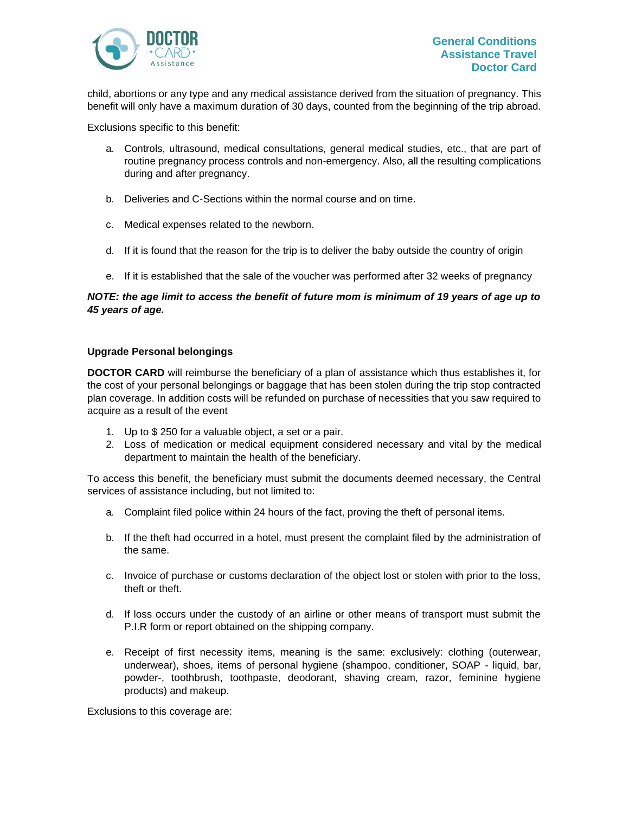

child, abortions or any type and any medical assistance derived from the situation of pregnancy. This benefit will only have a maximum duration of 30 days, counted from the beginning of the trip abroad.

Exclusions specific to this benefit:

- a. Controls, ultrasound, medical consultations, general medical studies, etc., that are part of routine pregnancy process controls and non-emergency. Also, all the resulting complications during and after pregnancy.
- b. Deliveries and C-Sections within the normal course and on time.
- c. Medical expenses related to the newborn.
- d. If it is found that the reason for the trip is to deliver the baby outside the country of origin
- e. If it is established that the sale of the voucher was performed after 32 weeks of pregnancy

# *NOTE: the age limit to access the benefit of future mom is minimum of 19 years of age up to 45 years of age.*

#### **Upgrade Personal belongings**

**DOCTOR CARD** will reimburse the beneficiary of a plan of assistance which thus establishes it, for the cost of your personal belongings or baggage that has been stolen during the trip stop contracted plan coverage. In addition costs will be refunded on purchase of necessities that you saw required to acquire as a result of the event

- 1. Up to \$ 250 for a valuable object, a set or a pair.
- 2. Loss of medication or medical equipment considered necessary and vital by the medical department to maintain the health of the beneficiary.

To access this benefit, the beneficiary must submit the documents deemed necessary, the Central services of assistance including, but not limited to:

- a. Complaint filed police within 24 hours of the fact, proving the theft of personal items.
- b. If the theft had occurred in a hotel, must present the complaint filed by the administration of the same.
- c. Invoice of purchase or customs declaration of the object lost or stolen with prior to the loss, theft or theft.
- d. If loss occurs under the custody of an airline or other means of transport must submit the P.I.R form or report obtained on the shipping company.
- e. Receipt of first necessity items, meaning is the same: exclusively: clothing (outerwear, underwear), shoes, items of personal hygiene (shampoo, conditioner, SOAP - liquid, bar, powder-, toothbrush, toothpaste, deodorant, shaving cream, razor, feminine hygiene products) and makeup.

Exclusions to this coverage are: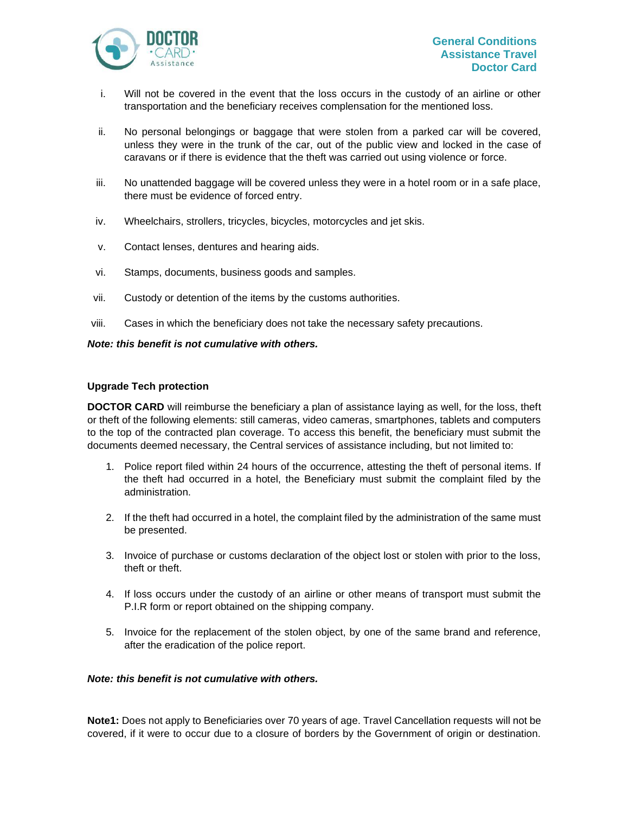

- i. Will not be covered in the event that the loss occurs in the custody of an airline or other transportation and the beneficiary receives complensation for the mentioned loss.
- ii. No personal belongings or baggage that were stolen from a parked car will be covered, unless they were in the trunk of the car, out of the public view and locked in the case of caravans or if there is evidence that the theft was carried out using violence or force.
- iii. No unattended baggage will be covered unless they were in a hotel room or in a safe place, there must be evidence of forced entry.
- iv. Wheelchairs, strollers, tricycles, bicycles, motorcycles and jet skis.
- v. Contact lenses, dentures and hearing aids.
- vi. Stamps, documents, business goods and samples.
- vii. Custody or detention of the items by the customs authorities.
- viii. Cases in which the beneficiary does not take the necessary safety precautions.

#### *Note: this benefit is not cumulative with others.*

# **Upgrade Tech protection**

**DOCTOR CARD** will reimburse the beneficiary a plan of assistance laying as well, for the loss, theft or theft of the following elements: still cameras, video cameras, smartphones, tablets and computers to the top of the contracted plan coverage. To access this benefit, the beneficiary must submit the documents deemed necessary, the Central services of assistance including, but not limited to:

- 1. Police report filed within 24 hours of the occurrence, attesting the theft of personal items. If the theft had occurred in a hotel, the Beneficiary must submit the complaint filed by the administration.
- 2. If the theft had occurred in a hotel, the complaint filed by the administration of the same must be presented.
- 3. Invoice of purchase or customs declaration of the object lost or stolen with prior to the loss, theft or theft.
- 4. If loss occurs under the custody of an airline or other means of transport must submit the P.I.R form or report obtained on the shipping company.
- 5. Invoice for the replacement of the stolen object, by one of the same brand and reference, after the eradication of the police report.

# *Note: this benefit is not cumulative with others.*

**Note1:** Does not apply to Beneficiaries over 70 years of age. Travel Cancellation requests will not be covered, if it were to occur due to a closure of borders by the Government of origin or destination.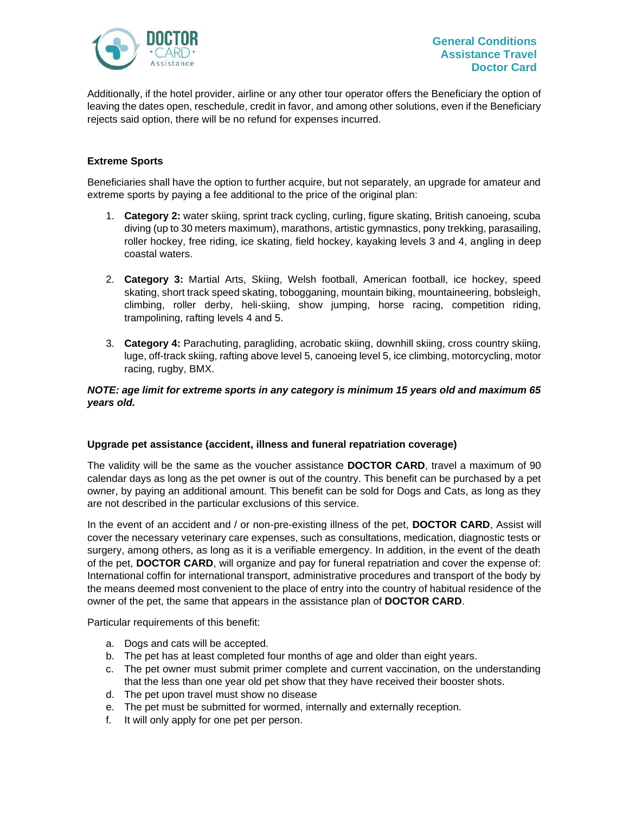

Additionally, if the hotel provider, airline or any other tour operator offers the Beneficiary the option of leaving the dates open, reschedule, credit in favor, and among other solutions, even if the Beneficiary rejects said option, there will be no refund for expenses incurred.

# **Extreme Sports**

Beneficiaries shall have the option to further acquire, but not separately, an upgrade for amateur and extreme sports by paying a fee additional to the price of the original plan:

- 1. **Category 2:** water skiing, sprint track cycling, curling, figure skating, British canoeing, scuba diving (up to 30 meters maximum), marathons, artistic gymnastics, pony trekking, parasailing, roller hockey, free riding, ice skating, field hockey, kayaking levels 3 and 4, angling in deep coastal waters.
- 2. **Category 3:** Martial Arts, Skiing, Welsh football, American football, ice hockey, speed skating, short track speed skating, tobogganing, mountain biking, mountaineering, bobsleigh, climbing, roller derby, heli-skiing, show jumping, horse racing, competition riding, trampolining, rafting levels 4 and 5.
- 3. **Category 4:** Parachuting, paragliding, acrobatic skiing, downhill skiing, cross country skiing, luge, off-track skiing, rafting above level 5, canoeing level 5, ice climbing, motorcycling, motor racing, rugby, BMX.

# *NOTE: age limit for extreme sports in any category is minimum 15 years old and maximum 65 years old.*

#### **Upgrade pet assistance (accident, illness and funeral repatriation coverage)**

The validity will be the same as the voucher assistance **DOCTOR CARD**, travel a maximum of 90 calendar days as long as the pet owner is out of the country. This benefit can be purchased by a pet owner, by paying an additional amount. This benefit can be sold for Dogs and Cats, as long as they are not described in the particular exclusions of this service.

In the event of an accident and / or non-pre-existing illness of the pet, **DOCTOR CARD**, Assist will cover the necessary veterinary care expenses, such as consultations, medication, diagnostic tests or surgery, among others, as long as it is a verifiable emergency. In addition, in the event of the death of the pet, **DOCTOR CARD**, will organize and pay for funeral repatriation and cover the expense of: International coffin for international transport, administrative procedures and transport of the body by the means deemed most convenient to the place of entry into the country of habitual residence of the owner of the pet, the same that appears in the assistance plan of **DOCTOR CARD**.

Particular requirements of this benefit:

- a. Dogs and cats will be accepted.
- b. The pet has at least completed four months of age and older than eight years.
- c. The pet owner must submit primer complete and current vaccination, on the understanding that the less than one year old pet show that they have received their booster shots.
- d. The pet upon travel must show no disease
- e. The pet must be submitted for wormed, internally and externally reception.
- f. It will only apply for one pet per person.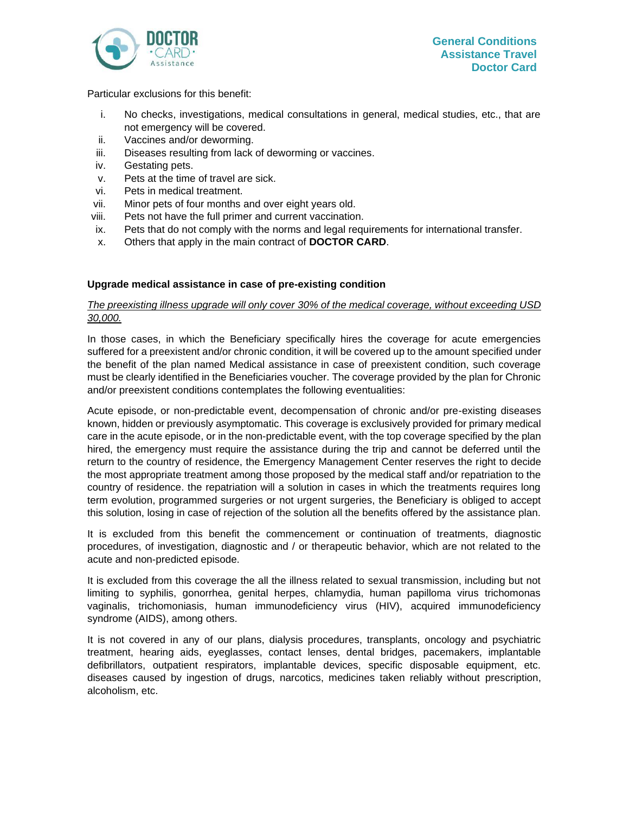

Particular exclusions for this benefit:

- i. No checks, investigations, medical consultations in general, medical studies, etc., that are not emergency will be covered.
- ii. Vaccines and/or deworming.
- iii. Diseases resulting from lack of deworming or vaccines.
- iv. Gestating pets.
- v. Pets at the time of travel are sick.
- vi. Pets in medical treatment.
- vii. Minor pets of four months and over eight years old.
- viii. Pets not have the full primer and current vaccination.
- ix. Pets that do not comply with the norms and legal requirements for international transfer.
- x. Others that apply in the main contract of **DOCTOR CARD**.

# **Upgrade medical assistance in case of pre-existing condition**

# *The preexisting illness upgrade will only cover 30% of the medical coverage, without exceeding USD 30,000.*

In those cases, in which the Beneficiary specifically hires the coverage for acute emergencies suffered for a preexistent and/or chronic condition, it will be covered up to the amount specified under the benefit of the plan named Medical assistance in case of preexistent condition, such coverage must be clearly identified in the Beneficiaries voucher. The coverage provided by the plan for Chronic and/or preexistent conditions contemplates the following eventualities:

Acute episode, or non-predictable event, decompensation of chronic and/or pre-existing diseases known, hidden or previously asymptomatic. This coverage is exclusively provided for primary medical care in the acute episode, or in the non-predictable event, with the top coverage specified by the plan hired, the emergency must require the assistance during the trip and cannot be deferred until the return to the country of residence, the Emergency Management Center reserves the right to decide the most appropriate treatment among those proposed by the medical staff and/or repatriation to the country of residence. the repatriation will a solution in cases in which the treatments requires long term evolution, programmed surgeries or not urgent surgeries, the Beneficiary is obliged to accept this solution, losing in case of rejection of the solution all the benefits offered by the assistance plan.

It is excluded from this benefit the commencement or continuation of treatments, diagnostic procedures, of investigation, diagnostic and / or therapeutic behavior, which are not related to the acute and non-predicted episode.

It is excluded from this coverage the all the illness related to sexual transmission, including but not limiting to syphilis, gonorrhea, genital herpes, chlamydia, human papilloma virus trichomonas vaginalis, trichomoniasis, human immunodeficiency virus (HIV), acquired immunodeficiency syndrome (AIDS), among others.

It is not covered in any of our plans, dialysis procedures, transplants, oncology and psychiatric treatment, hearing aids, eyeglasses, contact lenses, dental bridges, pacemakers, implantable defibrillators, outpatient respirators, implantable devices, specific disposable equipment, etc. diseases caused by ingestion of drugs, narcotics, medicines taken reliably without prescription, alcoholism, etc.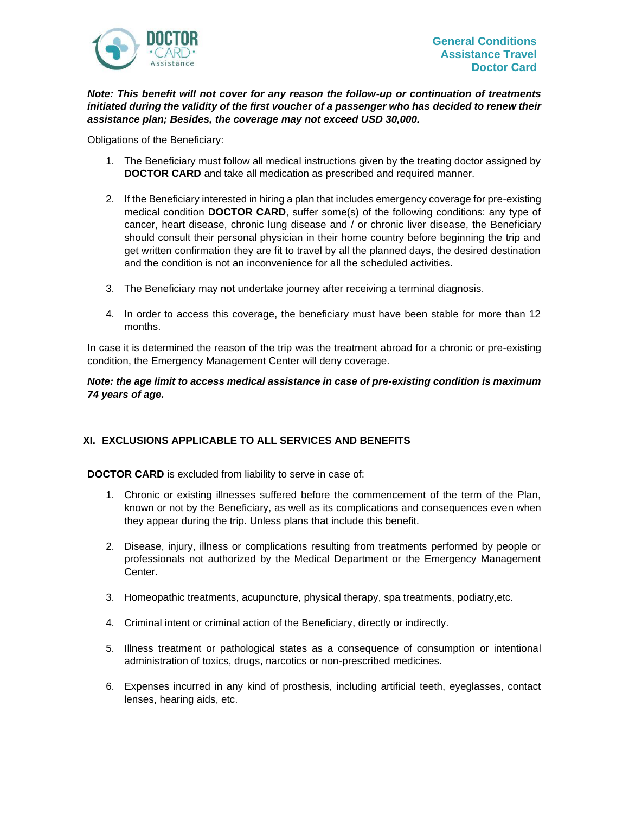

# *Note: This benefit will not cover for any reason the follow-up or continuation of treatments initiated during the validity of the first voucher of a passenger who has decided to renew their assistance plan; Besides, the coverage may not exceed USD 30,000.*

Obligations of the Beneficiary:

- 1. The Beneficiary must follow all medical instructions given by the treating doctor assigned by **DOCTOR CARD** and take all medication as prescribed and required manner.
- 2. If the Beneficiary interested in hiring a plan that includes emergency coverage for pre-existing medical condition **DOCTOR CARD**, suffer some(s) of the following conditions: any type of cancer, heart disease, chronic lung disease and / or chronic liver disease, the Beneficiary should consult their personal physician in their home country before beginning the trip and get written confirmation they are fit to travel by all the planned days, the desired destination and the condition is not an inconvenience for all the scheduled activities.
- 3. The Beneficiary may not undertake journey after receiving a terminal diagnosis.
- 4. In order to access this coverage, the beneficiary must have been stable for more than 12 months.

In case it is determined the reason of the trip was the treatment abroad for a chronic or pre-existing condition, the Emergency Management Center will deny coverage.

# *Note: the age limit to access medical assistance in case of pre-existing condition is maximum 74 years of age.*

# <span id="page-28-0"></span>**XI. EXCLUSIONS APPLICABLE TO ALL SERVICES AND BENEFITS**

**DOCTOR CARD** is excluded from liability to serve in case of:

- 1. Chronic or existing illnesses suffered before the commencement of the term of the Plan, known or not by the Beneficiary, as well as its complications and consequences even when they appear during the trip. Unless plans that include this benefit.
- 2. Disease, injury, illness or complications resulting from treatments performed by people or professionals not authorized by the Medical Department or the Emergency Management Center.
- 3. Homeopathic treatments, acupuncture, physical therapy, spa treatments, podiatry,etc.
- 4. Criminal intent or criminal action of the Beneficiary, directly or indirectly.
- 5. Illness treatment or pathological states as a consequence of consumption or intentional administration of toxics, drugs, narcotics or non-prescribed medicines.
- 6. Expenses incurred in any kind of prosthesis, including artificial teeth, eyeglasses, contact lenses, hearing aids, etc.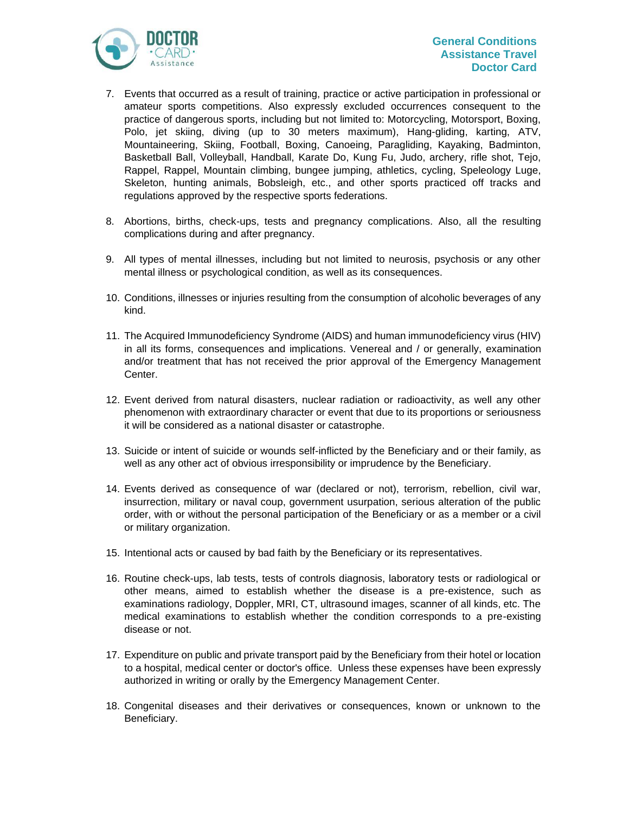

- 7. Events that occurred as a result of training, practice or active participation in professional or amateur sports competitions. Also expressly excluded occurrences consequent to the practice of dangerous sports, including but not limited to: Motorcycling, Motorsport, Boxing, Polo, jet skiing, diving (up to 30 meters maximum), Hang-gliding, karting, ATV, Mountaineering, Skiing, Football, Boxing, Canoeing, Paragliding, Kayaking, Badminton, Basketball Ball, Volleyball, Handball, Karate Do, Kung Fu, Judo, archery, rifle shot, Tejo, Rappel, Rappel, Mountain climbing, bungee jumping, athletics, cycling, Speleology Luge, Skeleton, hunting animals, Bobsleigh, etc., and other sports practiced off tracks and regulations approved by the respective sports federations.
- 8. Abortions, births, check-ups, tests and pregnancy complications. Also, all the resulting complications during and after pregnancy.
- 9. All types of mental illnesses, including but not limited to neurosis, psychosis or any other mental illness or psychological condition, as well as its consequences.
- 10. Conditions, illnesses or injuries resulting from the consumption of alcoholic beverages of any kind.
- 11. The Acquired Immunodeficiency Syndrome (AIDS) and human immunodeficiency virus (HIV) in all its forms, consequences and implications. Venereal and / or generally, examination and/or treatment that has not received the prior approval of the Emergency Management Center.
- 12. Event derived from natural disasters, nuclear radiation or radioactivity, as well any other phenomenon with extraordinary character or event that due to its proportions or seriousness it will be considered as a national disaster or catastrophe.
- 13. Suicide or intent of suicide or wounds self-inflicted by the Beneficiary and or their family, as well as any other act of obvious irresponsibility or imprudence by the Beneficiary.
- 14. Events derived as consequence of war (declared or not), terrorism, rebellion, civil war, insurrection, military or naval coup, government usurpation, serious alteration of the public order, with or without the personal participation of the Beneficiary or as a member or a civil or military organization.
- 15. Intentional acts or caused by bad faith by the Beneficiary or its representatives.
- 16. Routine check-ups, lab tests, tests of controls diagnosis, laboratory tests or radiological or other means, aimed to establish whether the disease is a pre-existence, such as examinations radiology, Doppler, MRI, CT, ultrasound images, scanner of all kinds, etc. The medical examinations to establish whether the condition corresponds to a pre-existing disease or not.
- 17. Expenditure on public and private transport paid by the Beneficiary from their hotel or location to a hospital, medical center or doctor's office. Unless these expenses have been expressly authorized in writing or orally by the Emergency Management Center.
- 18. Congenital diseases and their derivatives or consequences, known or unknown to the Beneficiary.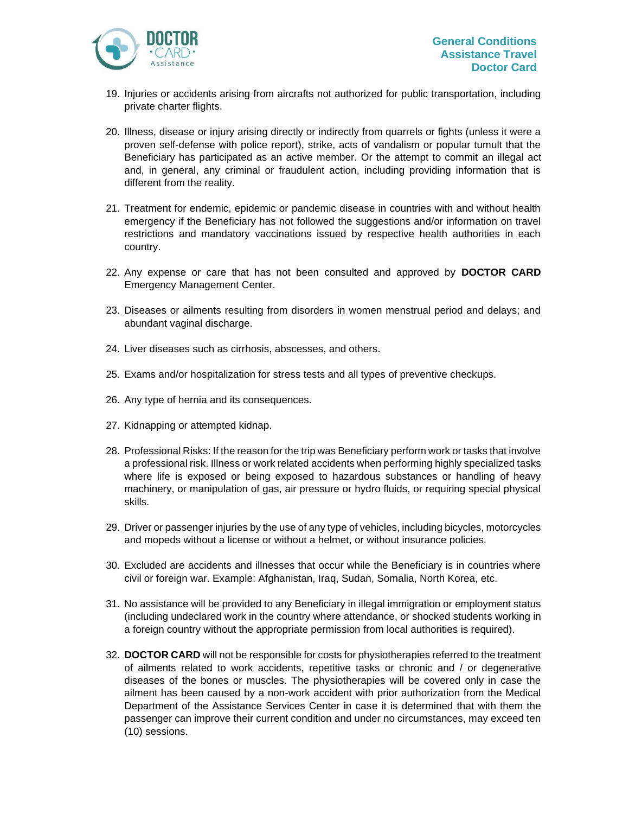- 19. Injuries or accidents arising from aircrafts not authorized for public transportation, including private charter flights.
- 20. Illness, disease or injury arising directly or indirectly from quarrels or fights (unless it were a proven self-defense with police report), strike, acts of vandalism or popular tumult that the Beneficiary has participated as an active member. Or the attempt to commit an illegal act and, in general, any criminal or fraudulent action, including providing information that is different from the reality.
- 21. Treatment for endemic, epidemic or pandemic disease in countries with and without health emergency if the Beneficiary has not followed the suggestions and/or information on travel restrictions and mandatory vaccinations issued by respective health authorities in each country.
- 22. Any expense or care that has not been consulted and approved by **DOCTOR CARD** Emergency Management Center.
- 23. Diseases or ailments resulting from disorders in women menstrual period and delays; and abundant vaginal discharge.
- 24. Liver diseases such as cirrhosis, abscesses, and others.
- 25. Exams and/or hospitalization for stress tests and all types of preventive checkups.
- 26. Any type of hernia and its consequences.
- 27. Kidnapping or attempted kidnap.
- 28. Professional Risks: If the reason for the trip was Beneficiary perform work or tasks that involve a professional risk. Illness or work related accidents when performing highly specialized tasks where life is exposed or being exposed to hazardous substances or handling of heavy machinery, or manipulation of gas, air pressure or hydro fluids, or requiring special physical skills.
- 29. Driver or passenger injuries by the use of any type of vehicles, including bicycles, motorcycles and mopeds without a license or without a helmet, or without insurance policies.
- 30. Excluded are accidents and illnesses that occur while the Beneficiary is in countries where civil or foreign war. Example: Afghanistan, Iraq, Sudan, Somalia, North Korea, etc.
- 31. No assistance will be provided to any Beneficiary in illegal immigration or employment status (including undeclared work in the country where attendance, or shocked students working in a foreign country without the appropriate permission from local authorities is required).
- 32. **DOCTOR CARD** will not be responsible for costs for physiotherapies referred to the treatment of ailments related to work accidents, repetitive tasks or chronic and / or degenerative diseases of the bones or muscles. The physiotherapies will be covered only in case the ailment has been caused by a non-work accident with prior authorization from the Medical Department of the Assistance Services Center in case it is determined that with them the passenger can improve their current condition and under no circumstances, may exceed ten (10) sessions.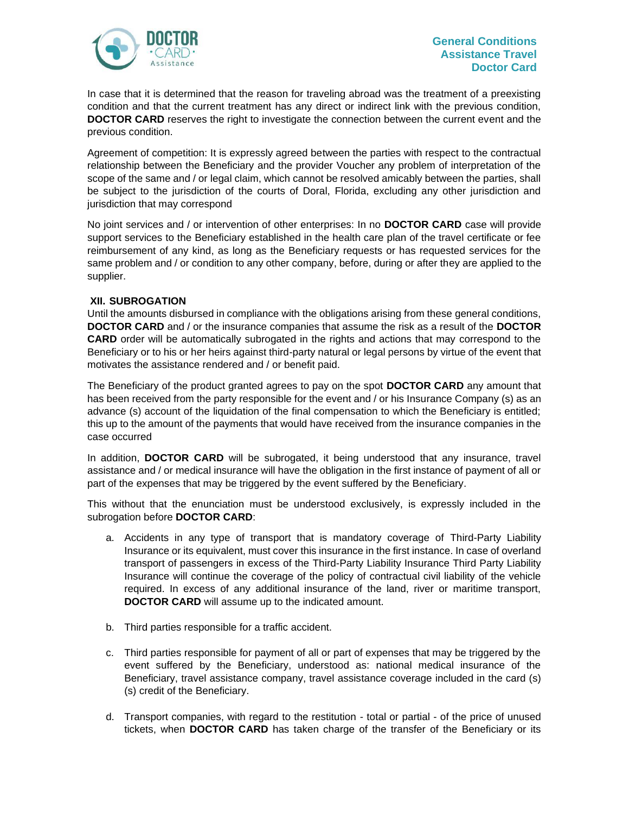

In case that it is determined that the reason for traveling abroad was the treatment of a preexisting condition and that the current treatment has any direct or indirect link with the previous condition, **DOCTOR CARD** reserves the right to investigate the connection between the current event and the previous condition.

Agreement of competition: It is expressly agreed between the parties with respect to the contractual relationship between the Beneficiary and the provider Voucher any problem of interpretation of the scope of the same and / or legal claim, which cannot be resolved amicably between the parties, shall be subject to the jurisdiction of the courts of Doral, Florida, excluding any other jurisdiction and jurisdiction that may correspond

No joint services and / or intervention of other enterprises: In no **DOCTOR CARD** case will provide support services to the Beneficiary established in the health care plan of the travel certificate or fee reimbursement of any kind, as long as the Beneficiary requests or has requested services for the same problem and / or condition to any other company, before, during or after they are applied to the supplier.

# <span id="page-31-0"></span>**XII. SUBROGATION**

Until the amounts disbursed in compliance with the obligations arising from these general conditions, **DOCTOR CARD** and / or the insurance companies that assume the risk as a result of the **DOCTOR CARD** order will be automatically subrogated in the rights and actions that may correspond to the Beneficiary or to his or her heirs against third-party natural or legal persons by virtue of the event that motivates the assistance rendered and / or benefit paid.

The Beneficiary of the product granted agrees to pay on the spot **DOCTOR CARD** any amount that has been received from the party responsible for the event and / or his Insurance Company (s) as an advance (s) account of the liquidation of the final compensation to which the Beneficiary is entitled; this up to the amount of the payments that would have received from the insurance companies in the case occurred

In addition, **DOCTOR CARD** will be subrogated, it being understood that any insurance, travel assistance and / or medical insurance will have the obligation in the first instance of payment of all or part of the expenses that may be triggered by the event suffered by the Beneficiary.

This without that the enunciation must be understood exclusively, is expressly included in the subrogation before **DOCTOR CARD**:

- a. Accidents in any type of transport that is mandatory coverage of Third-Party Liability Insurance or its equivalent, must cover this insurance in the first instance. In case of overland transport of passengers in excess of the Third-Party Liability Insurance Third Party Liability Insurance will continue the coverage of the policy of contractual civil liability of the vehicle required. In excess of any additional insurance of the land, river or maritime transport, **DOCTOR CARD** will assume up to the indicated amount.
- b. Third parties responsible for a traffic accident.
- c. Third parties responsible for payment of all or part of expenses that may be triggered by the event suffered by the Beneficiary, understood as: national medical insurance of the Beneficiary, travel assistance company, travel assistance coverage included in the card (s) (s) credit of the Beneficiary.
- d. Transport companies, with regard to the restitution total or partial of the price of unused tickets, when **DOCTOR CARD** has taken charge of the transfer of the Beneficiary or its